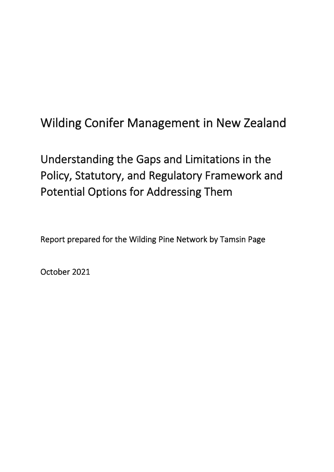# Wilding Conifer Management in New Zealand

# Understanding the Gaps and Limitations in the Policy, Statutory, and Regulatory Framework and Potential Options for Addressing Them

Report prepared for the Wilding Pine Network by Tamsin Page

October 2021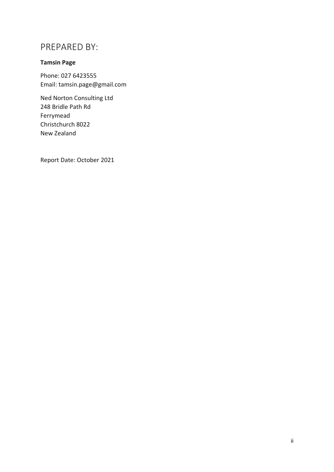## PREPARED BY:

### **Tamsin Page**

Phone: 027 6423555 Email: tamsin.page@gmail.com

Ned Norton Consulting Ltd 248 Bridle Path Rd Ferrymead Christchurch 8022 New Zealand

Report Date: October 2021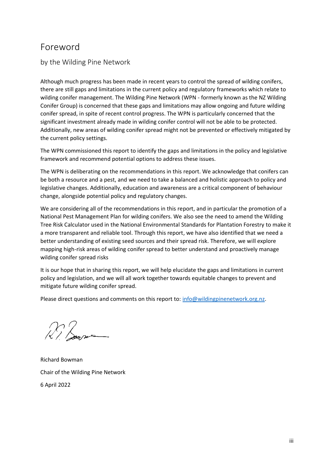## Foreword

by the Wilding Pine Network

Although much progress has been made in recent years to control the spread of wilding conifers, there are still gaps and limitations in the current policy and regulatory frameworks which relate to wilding conifer management. The Wilding Pine Network (WPN - formerly known as the NZ Wilding Conifer Group) is concerned that these gaps and limitations may allow ongoing and future wilding conifer spread, in spite of recent control progress. The WPN is particularly concerned that the significant investment already made in wilding conifer control will not be able to be protected. Additionally, new areas of wilding conifer spread might not be prevented or effectively mitigated by the current policy settings.

The WPN commissioned this report to identify the gaps and limitations in the policy and legislative framework and recommend potential options to address these issues.

The WPN is deliberating on the recommendations in this report. We acknowledge that conifers can be both a resource and a pest, and we need to take a balanced and holistic approach to policy and legislative changes. Additionally, education and awareness are a critical component of behaviour change, alongside potential policy and regulatory changes.

We are considering all of the recommendations in this report, and in particular the promotion of a National Pest Management Plan for wilding conifers. We also see the need to amend the Wilding Tree Risk Calculator used in the National Environmental Standards for Plantation Forestry to make it a more transparent and reliable tool. Through this report, we have also identified that we need a better understanding of existing seed sources and their spread risk. Therefore, we will explore mapping high-risk areas of wilding conifer spread to better understand and proactively manage wilding conifer spread risks

It is our hope that in sharing this report, we will help elucidate the gaps and limitations in current policy and legislation, and we will all work together towards equitable changes to prevent and mitigate future wilding conifer spread.

Please direct questions and comments on this report to: [info@wildingpinenetwork.org.nz.](mailto:info@wildingpinenetwork.org.nz)

 $\sqrt{2}$  based

Richard Bowman Chair of the Wilding Pine Network 6 April 2022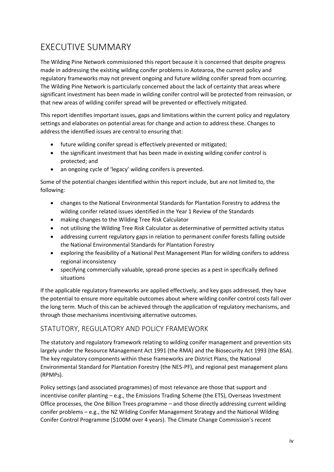## EXECUTIVE SUMMARY

The Wilding Pine Network commissioned this report because it is concerned that despite progress made in addressing the existing wilding conifer problems in Aotearoa, the current policy and regulatory frameworks may not prevent ongoing and future wilding conifer spread from occurring. The Wilding Pine Network is particularly concerned about the lack of certainty that areas where significant investment has been made in wilding conifer control will be protected from reinvasion, or that new areas of wilding conifer spread will be prevented or effectively mitigated.

This report identifies important issues, gaps and limitations within the current policy and regulatory settings and elaborates on potential areas for change and action to address these. Changes to address the identified issues are central to ensuring that:

- future wilding conifer spread is effectively prevented or mitigated;
- the significant investment that has been made in existing wilding conifer control is protected; and
- an ongoing cycle of 'legacy' wilding conifers is prevented.

Some of the potential changes identified within this report include, but are not limited to, the following:

- changes to the National Environmental Standards for Plantation Forestry to address the wilding conifer related issues identified in the Year 1 Review of the Standards
- making changes to the Wilding Tree Risk Calculator
- not utilising the Wilding Tree Risk Calculator as determinative of permitted activity status
- addressing current regulatory gaps in relation to permanent conifer forests falling outside the National Environmental Standards for Plantation Forestry
- exploring the feasibility of a National Pest Management Plan for wilding conifers to address regional inconsistency
- specifying commercially valuable, spread-prone species as a pest in specifically defined situations

If the applicable regulatory frameworks are applied effectively, and key gaps addressed, they have the potential to ensure more equitable outcomes about where wilding conifer control costs fall over the long term. Much of this can be achieved through the application of regulatory mechanisms, and through those mechanisms incentivising alternative outcomes.

### STATUTORY, REGULATORY AND POLICY FRAMEWORK

The statutory and regulatory framework relating to wilding conifer management and prevention sits largely under the Resource Management Act 1991 (the RMA) and the Biosecurity Act 1993 (the BSA). The key regulatory components within these frameworks are District Plans, the National Environmental Standard for Plantation Forestry (the NES-PF), and regional pest management plans (RPMPs).

Policy settings (and associated programmes) of most relevance are those that support and incentivise conifer planting – e.g., the Emissions Trading Scheme (the ETS), Overseas Investment Office processes, the One Billion Trees programme – and those directly addressing current wilding conifer problems – e.g., the NZ Wilding Conifer Management Strategy and the National Wilding Conifer Control Programme (\$100M over 4 years). The Climate Change Commission's recent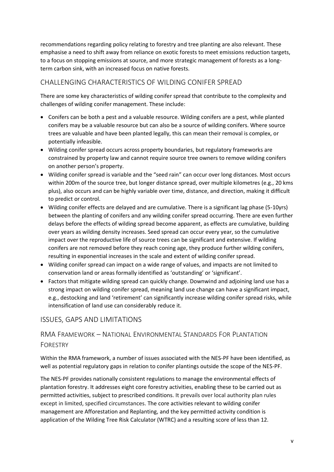recommendations regarding policy relating to forestry and tree planting are also relevant. These emphasise a need to shift away from reliance on exotic forests to meet emissions reduction targets, to a focus on stopping emissions at source, and more strategic management of forests as a longterm carbon sink, with an increased focus on native forests.

## CHALLENGING CHARACTERISTICS OF WILDING CONIFER SPREAD

There are some key characteristics of wilding conifer spread that contribute to the complexity and challenges of wilding conifer management. These include:

- Conifers can be both a pest and a valuable resource. Wilding conifers are a pest, while planted conifers may be a valuable resource but can also be a source of wilding conifers. Where source trees are valuable and have been planted legally, this can mean their removal is complex, or potentially infeasible.
- Wilding conifer spread occurs across property boundaries, but regulatory frameworks are constrained by property law and cannot require source tree owners to remove wilding conifers on another person's property.
- Wilding conifer spread is variable and the "seed rain" can occur over long distances. Most occurs within 200m of the source tree, but longer distance spread, over multiple kilometres (e.g., 20 kms plus), also occurs and can be highly variable over time, distance, and direction, making it difficult to predict or control.
- Wilding conifer effects are delayed and are cumulative. There is a significant lag phase (5-10yrs) between the planting of conifers and any wilding conifer spread occurring. There are even further delays before the effects of wilding spread become apparent, as effects are cumulative, building over years as wilding density increases. Seed spread can occur every year, so the cumulative impact over the reproductive life of source trees can be significant and extensive. If wilding conifers are not removed before they reach coning age, they produce further wilding conifers, resulting in exponential increases in the scale and extent of wilding conifer spread.
- Wilding conifer spread can impact on a wide range of values, and impacts are not limited to conservation land or areas formally identified as 'outstanding' or 'significant'.
- Factors that mitigate wilding spread can quickly change. Downwind and adjoining land use has a strong impact on wilding conifer spread, meaning land use change can have a significant impact, e.g., destocking and land 'retirement' can significantly increase wilding conifer spread risks, while intensification of land use can considerably reduce it.

### ISSUES, GAPS AND LIMITATIONS

## RMA FRAMEWORK – NATIONAL ENVIRONMENTAL STANDARDS FOR PLANTATION FORESTRY

Within the RMA framework, a number of issues associated with the NES-PF have been identified, as well as potential regulatory gaps in relation to conifer plantings outside the scope of the NES-PF.

The NES-PF provides nationally consistent regulations to manage the environmental effects of plantation forestry. It addresses eight core forestry activities, enabling these to be carried out as permitted activities, subject to prescribed conditions. It prevails over local authority plan rules except in limited, specified circumstances. The core activities relevant to wilding conifer management are Afforestation and Replanting, and the key permitted activity condition is application of the Wilding Tree Risk Calculator (WTRC) and a resulting score of less than 12.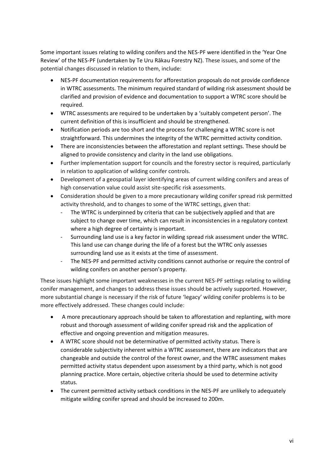Some important issues relating to wilding conifers and the NES-PF were identified in the 'Year One Review' of the NES-PF (undertaken by Te Uru Rākau Forestry NZ). These issues, and some of the potential changes discussed in relation to them, include:

- NES-PF documentation requirements for afforestation proposals do not provide confidence in WTRC assessments. The minimum required standard of wilding risk assessment should be clarified and provision of evidence and documentation to support a WTRC score should be required.
- WTRC assessments are required to be undertaken by a 'suitably competent person'. The current definition of this is insufficient and should be strengthened.
- Notification periods are too short and the process for challenging a WTRC score is not straightforward. This undermines the integrity of the WTRC permitted activity condition.
- There are inconsistencies between the afforestation and replant settings. These should be aligned to provide consistency and clarity in the land use obligations.
- Further implementation support for councils and the forestry sector is required, particularly in relation to application of wilding conifer controls.
- Development of a geospatial layer identifying areas of current wilding conifers and areas of high conservation value could assist site-specific risk assessments.
- Consideration should be given to a more precautionary wilding conifer spread risk permitted activity threshold, and to changes to some of the WTRC settings, given that:
	- The WTRC is underpinned by criteria that can be subjectively applied and that are subject to change over time, which can result in inconsistencies in a regulatory context where a high degree of certainty is important.
	- Surrounding land use is a key factor in wilding spread risk assessment under the WTRC. This land use can change during the life of a forest but the WTRC only assesses surrounding land use as it exists at the time of assessment.
	- The NES-PF and permitted activity conditions cannot authorise or require the control of wilding conifers on another person's property.

These issues highlight some important weaknesses in the current NES-PF settings relating to wilding conifer management, and changes to address these issues should be actively supported. However, more substantial change is necessary if the risk of future 'legacy' wilding conifer problems is to be more effectively addressed. These changes could include:

- A more precautionary approach should be taken to afforestation and replanting, with more robust and thorough assessment of wilding conifer spread risk and the application of effective and ongoing prevention and mitigation measures.
- A WTRC score should not be determinative of permitted activity status. There is considerable subjectivity inherent within a WTRC assessment, there are indicators that are changeable and outside the control of the forest owner, and the WTRC assessment makes permitted activity status dependent upon assessment by a third party, which is not good planning practice. More certain, objective criteria should be used to determine activity status.
- The current permitted activity setback conditions in the NES-PF are unlikely to adequately mitigate wilding conifer spread and should be increased to 200m.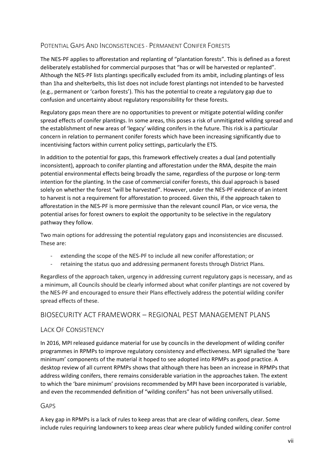### POTENTIAL GAPS AND INCONSISTENCIES - PERMANENT CONIFER FORESTS

The NES-PF applies to afforestation and replanting of "plantation forests". This is defined as a forest deliberately established for commercial purposes that "has or will be harvested or replanted". Although the NES-PF lists plantings specifically excluded from its ambit, including plantings of less than 1ha and shelterbelts, this list does not include forest plantings not intended to be harvested (e.g., permanent or 'carbon forests'). This has the potential to create a regulatory gap due to confusion and uncertainty about regulatory responsibility for these forests.

Regulatory gaps mean there are no opportunities to prevent or mitigate potential wilding conifer spread effects of conifer plantings. In some areas, this poses a risk of unmitigated wilding spread and the establishment of new areas of 'legacy' wilding conifers in the future. This risk is a particular concern in relation to permanent conifer forests which have been increasing significantly due to incentivising factors within current policy settings, particularly the ETS.

In addition to the potential for gaps, this framework effectively creates a dual (and potentially inconsistent), approach to conifer planting and afforestation under the RMA, despite the main potential environmental effects being broadly the same, regardless of the purpose or long-term intention for the planting. In the case of commercial conifer forests, this dual approach is based solely on whether the forest "will be harvested". However, under the NES-PF evidence of an intent to harvest is not a requirement for afforestation to proceed. Given this, if the approach taken to afforestation in the NES-PF is more permissive than the relevant council Plan, or vice versa, the potential arises for forest owners to exploit the opportunity to be selective in the regulatory pathway they follow.

Two main options for addressing the potential regulatory gaps and inconsistencies are discussed. These are:

- extending the scope of the NES-PF to include all new conifer afforestation; or
- retaining the status quo and addressing permanent forests through District Plans.

Regardless of the approach taken, urgency in addressing current regulatory gaps is necessary, and as a minimum, all Councils should be clearly informed about what conifer plantings are not covered by the NES-PF and encouraged to ensure their Plans effectively address the potential wilding conifer spread effects of these.

### BIOSECURITY ACT FRAMEWORK – REGIONAL PEST MANAGEMENT PLANS

#### LACK OF CONSISTENCY

In 2016, MPI released guidance material for use by councils in the development of wilding conifer programmes in RPMPs to improve regulatory consistency and effectiveness. MPI signalled the 'bare minimum' components of the material it hoped to see adopted into RPMPs as good practice. A desktop review of all current RPMPs shows that although there has been an increase in RPMPs that address wilding conifers, there remains considerable variation in the approaches taken. The extent to which the 'bare minimum' provisions recommended by MPI have been incorporated is variable, and even the recommended definition of "wilding conifers" has not been universally utilised.

#### GAPS

A key gap in RPMPs is a lack of rules to keep areas that are clear of wilding conifers, clear. Some include rules requiring landowners to keep areas clear where publicly funded wilding conifer control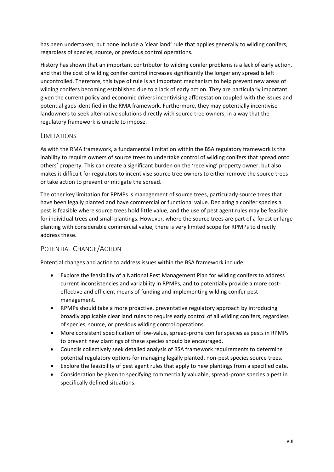has been undertaken, but none include a 'clear land' rule that applies generally to wilding conifers, regardless of species, source, or previous control operations.

History has shown that an important contributor to wilding conifer problems is a lack of early action, and that the cost of wilding conifer control increases significantly the longer any spread is left uncontrolled. Therefore, this type of rule is an important mechanism to help prevent new areas of wilding conifers becoming established due to a lack of early action. They are particularly important given the current policy and economic drivers incentivising afforestation coupled with the issues and potential gaps identified in the RMA framework. Furthermore, they may potentially incentivise landowners to seek alternative solutions directly with source tree owners, in a way that the regulatory framework is unable to impose.

#### LIMITATIONS

As with the RMA framework, a fundamental limitation within the BSA regulatory framework is the inability to require owners of source trees to undertake control of wilding conifers that spread onto others' property. This can create a significant burden on the 'receiving' property owner, but also makes it difficult for regulators to incentivise source tree owners to either remove the source trees or take action to prevent or mitigate the spread.

The other key limitation for RPMPs is management of source trees, particularly source trees that have been legally planted and have commercial or functional value. Declaring a conifer species a pest is feasible where source trees hold little value, and the use of pest agent rules may be feasible for individual trees and small plantings. However, where the source trees are part of a forest or large planting with considerable commercial value, there is very limited scope for RPMPs to directly address these.

#### POTENTIAL CHANGE/ACTION

Potential changes and action to address issues within the BSA framework include:

- Explore the feasibility of a National Pest Management Plan for wilding conifers to address current inconsistencies and variability in RPMPs, and to potentially provide a more costeffective and efficient means of funding and implementing wilding conifer pest management.
- RPMPs should take a more proactive, preventative regulatory approach by introducing broadly applicable clear land rules to require early control of all wilding conifers, regardless of species, source, or previous wilding control operations.
- More consistent specification of low-value, spread-prone conifer species as pests in RPMPs to prevent new plantings of these species should be encouraged.
- Councils collectively seek detailed analysis of BSA framework requirements to determine potential regulatory options for managing legally planted, non-pest species source trees.
- Explore the feasibility of pest agent rules that apply to new plantings from a specified date.
- Consideration be given to specifying commercially valuable, spread-prone species a pest in specifically defined situations.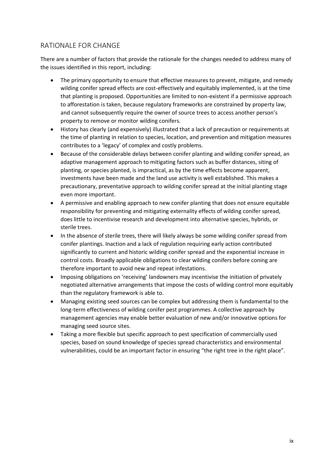### RATIONALE FOR CHANGE

There are a number of factors that provide the rationale for the changes needed to address many of the issues identified in this report, including:

- The primary opportunity to ensure that effective measures to prevent, mitigate, and remedy wilding conifer spread effects are cost-effectively and equitably implemented, is at the time that planting is proposed. Opportunities are limited to non-existent if a permissive approach to afforestation is taken, because regulatory frameworks are constrained by property law, and cannot subsequently require the owner of source trees to access another person's property to remove or monitor wilding conifers.
- History has clearly (and expensively) illustrated that a lack of precaution or requirements at the time of planting in relation to species, location, and prevention and mitigation measures contributes to a 'legacy' of complex and costly problems.
- Because of the considerable delays between conifer planting and wilding conifer spread, an adaptive management approach to mitigating factors such as buffer distances, siting of planting, or species planted, is impractical, as by the time effects become apparent, investments have been made and the land use activity is well established. This makes a precautionary, preventative approach to wilding conifer spread at the initial planting stage even more important.
- A permissive and enabling approach to new conifer planting that does not ensure equitable responsibility for preventing and mitigating externality effects of wilding conifer spread, does little to incentivise research and development into alternative species, hybrids, or sterile trees.
- In the absence of sterile trees, there will likely always be some wilding conifer spread from conifer plantings. Inaction and a lack of regulation requiring early action contributed significantly to current and historic wilding conifer spread and the exponential increase in control costs. Broadly applicable obligations to clear wilding conifers before coning are therefore important to avoid new and repeat infestations.
- Imposing obligations on 'receiving' landowners may incentivise the initiation of privately negotiated alternative arrangements that impose the costs of wilding control more equitably than the regulatory framework is able to.
- Managing existing seed sources can be complex but addressing them is fundamental to the long-term effectiveness of wilding conifer pest programmes. A collective approach by management agencies may enable better evaluation of new and/or innovative options for managing seed source sites.
- Taking a more flexible but specific approach to pest specification of commercially used species, based on sound knowledge of species spread characteristics and environmental vulnerabilities, could be an important factor in ensuring "the right tree in the right place".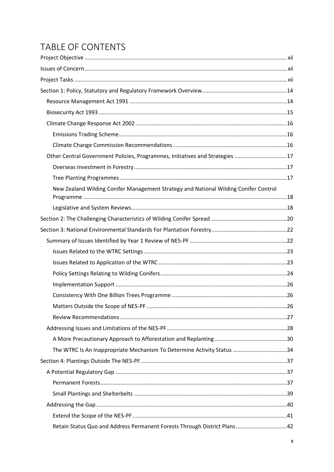## TABLE OF CONTENTS

| Other Central Government Policies, Programmes, Initiatives and Strategies 17         |  |
|--------------------------------------------------------------------------------------|--|
|                                                                                      |  |
|                                                                                      |  |
| New Zealand Wilding Conifer Management Strategy and National Wilding Conifer Control |  |
|                                                                                      |  |
|                                                                                      |  |
|                                                                                      |  |
|                                                                                      |  |
|                                                                                      |  |
|                                                                                      |  |
|                                                                                      |  |
|                                                                                      |  |
|                                                                                      |  |
|                                                                                      |  |
|                                                                                      |  |
|                                                                                      |  |
|                                                                                      |  |
| The WTRC Is An Inappropriate Mechanism To Determine Activity Status 34               |  |
|                                                                                      |  |
|                                                                                      |  |
|                                                                                      |  |
|                                                                                      |  |
|                                                                                      |  |
|                                                                                      |  |
| Retain Status Quo and Address Permanent Forests Through District Plans42             |  |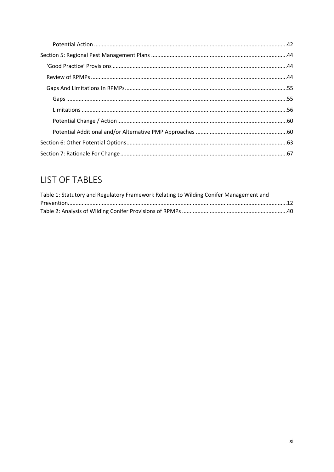## **LIST OF TABLES**

| Table 1: Statutory and Regulatory Framework Relating to Wilding Conifer Management and |  |
|----------------------------------------------------------------------------------------|--|
|                                                                                        |  |
|                                                                                        |  |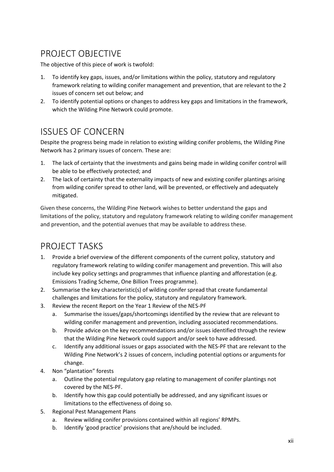## <span id="page-11-0"></span>PROJECT OBJECTIVE

The objective of this piece of work is twofold:

- 1. To identify key gaps, issues, and/or limitations within the policy, statutory and regulatory framework relating to wilding conifer management and prevention, that are relevant to the 2 issues of concern set out below; and
- 2. To identify potential options or changes to address key gaps and limitations in the framework, which the Wilding Pine Network could promote.

## <span id="page-11-1"></span>ISSUES OF CONCERN

Despite the progress being made in relation to existing wilding conifer problems, the Wilding Pine Network has 2 primary issues of concern. These are:

- 1. The lack of certainty that the investments and gains being made in wilding conifer control will be able to be effectively protected; and
- 2. The lack of certainty that the externality impacts of new and existing conifer plantings arising from wilding conifer spread to other land, will be prevented, or effectively and adequately mitigated.

Given these concerns, the Wilding Pine Network wishes to better understand the gaps and limitations of the policy, statutory and regulatory framework relating to wilding conifer management and prevention, and the potential avenues that may be available to address these.

## <span id="page-11-2"></span>PROJECT TASKS

- 1. Provide a brief overview of the different components of the current policy, statutory and regulatory framework relating to wilding conifer management and prevention. This will also include key policy settings and programmes that influence planting and afforestation (e.g. Emissions Trading Scheme, One Billion Trees programme).
- 2. Summarise the key characteristic(s) of wilding conifer spread that create fundamental challenges and limitations for the policy, statutory and regulatory framework.
- 3. Review the recent Report on the Year 1 Review of the NES-PF
	- a. Summarise the issues/gaps/shortcomings identified by the review that are relevant to wilding conifer management and prevention, including associated recommendations.
	- b. Provide advice on the key recommendations and/or issues identified through the review that the Wilding Pine Network could support and/or seek to have addressed.
	- c. Identify any additional issues or gaps associated with the NES-PF that are relevant to the Wilding Pine Network's 2 issues of concern, including potential options or arguments for change.
- 4. Non "plantation" forests
	- a. Outline the potential regulatory gap relating to management of conifer plantings not covered by the NES-PF.
	- b. Identify how this gap could potentially be addressed, and any significant issues or limitations to the effectiveness of doing so.
- 5. Regional Pest Management Plans
	- a. Review wilding conifer provisions contained within all regions' RPMPs.
	- b. Identify 'good practice' provisions that are/should be included.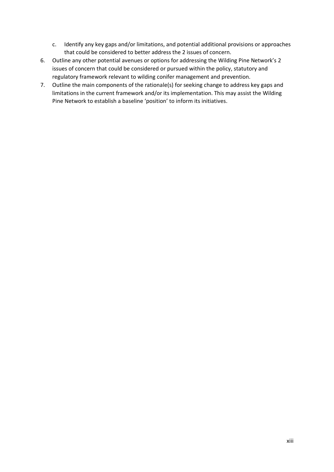- c. Identify any key gaps and/or limitations, and potential additional provisions or approaches that could be considered to better address the 2 issues of concern.
- 6. Outline any other potential avenues or options for addressing the Wilding Pine Network's 2 issues of concern that could be considered or pursued within the policy, statutory and regulatory framework relevant to wilding conifer management and prevention.
- 7. Outline the main components of the rationale(s) for seeking change to address key gaps and limitations in the current framework and/or its implementation. This may assist the Wilding Pine Network to establish a baseline 'position' to inform its initiatives.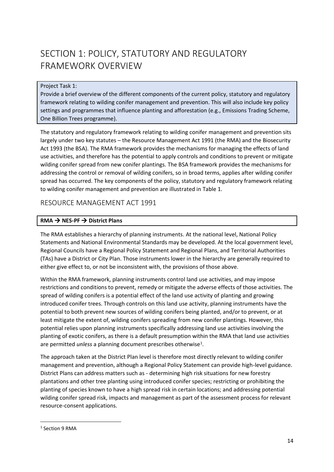## <span id="page-13-0"></span>SECTION 1: POLICY, STATUTORY AND REGULATORY FRAMEWORK OVERVIEW

#### Project Task 1:

Provide a brief overview of the different components of the current policy, statutory and regulatory framework relating to wilding conifer management and prevention. This will also include key policy settings and programmes that influence planting and afforestation (e.g., Emissions Trading Scheme, One Billion Trees programme).

The statutory and regulatory framework relating to wilding conifer management and prevention sits largely under two key statutes – the Resource Management Act 1991 (the RMA) and the Biosecurity Act 1993 (the BSA). The RMA framework provides the mechanisms for managing the effects of land use activities, and therefore has the potential to apply controls and conditions to prevent or mitigate wilding conifer spread from new conifer plantings. The BSA framework provides the mechanisms for addressing the control or removal of wilding conifers, so in broad terms, applies after wilding conifer spread has occurred. The key components of the policy, statutory and regulatory framework relating to wilding conifer management and prevention are illustrated in [Table 1.](#page-18-0)

## <span id="page-13-1"></span>RESOURCE MANAGEMENT ACT 1991

#### **RMA** → **NES-PF** → **District Plans**

The RMA establishes a hierarchy of planning instruments. At the national level, National Policy Statements and National Environmental Standards may be developed. At the local government level, Regional Councils have a Regional Policy Statement and Regional Plans, and Territorial Authorities (TAs) have a District or City Plan. Those instruments lower in the hierarchy are generally required to either give effect to, or not be inconsistent with, the provisions of those above.

Within the RMA framework, planning instruments control land use activities, and may impose restrictions and conditions to prevent, remedy or mitigate the adverse effects of those activities. The spread of wilding conifers is a potential effect of the land use activity of planting and growing introduced conifer trees. Through controls on this land use activity, planning instruments have the potential to both prevent new sources of wilding conifers being planted, and/or to prevent, or at least mitigate the extent of, wilding conifers spreading from new conifer plantings. However, this potential relies upon planning instruments specifically addressing land use activities involving the planting of exotic conifers, as there is a default presumption within the RMA that land use activities are permitted *unless* a planning document prescribes otherwise<sup>1</sup>.

The approach taken at the District Plan level is therefore most directly relevant to wilding conifer management and prevention, although a Regional Policy Statement can provide high-level guidance. District Plans can address matters such as - determining high risk situations for new forestry plantations and other tree planting using introduced conifer species; restricting or prohibiting the planting of species known to have a high spread risk in certain locations; and addressing potential wilding conifer spread risk, impacts and management as part of the assessment process for relevant resource-consent applications.

<sup>&</sup>lt;sup>1</sup> Section 9 RMA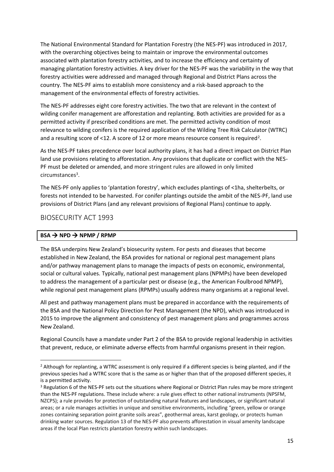The National Environmental Standard for Plantation Forestry (the NES-PF) was introduced in 2017, with the overarching objectives being to maintain or improve the environmental outcomes associated with plantation forestry activities, and to increase the efficiency and certainty of managing plantation forestry activities. A key driver for the NES-PF was the variability in the way that forestry activities were addressed and managed through Regional and District Plans across the country. The NES-PF aims to establish more consistency and a risk-based approach to the management of the environmental effects of forestry activities.

The NES-PF addresses eight core forestry activities. The two that are relevant in the context of wilding conifer management are afforestation and replanting. Both activities are provided for as a permitted activity if prescribed conditions are met. The permitted activity condition of most relevance to wilding conifers is the required application of the Wilding Tree Risk Calculator (WTRC) and a resulting score of <12. A score of 12 or more means resource consent is required<sup>2</sup>.

As the NES-PF takes precedence over local authority plans, it has had a direct impact on District Plan land use provisions relating to afforestation. Any provisions that duplicate or conflict with the NES-PF must be deleted or amended, and more stringent rules are allowed in only limited circumstances<sup>3</sup>.

The NES-PF only applies to 'plantation forestry', which excludes plantings of <1ha, shelterbelts, or forests not intended to be harvested. For conifer plantings outside the ambit of the NES-PF, land use provisions of District Plans (and any relevant provisions of Regional Plans) continue to apply.

### <span id="page-14-0"></span>BIOSECURITY ACT 1993

#### $BSA \rightarrow NPD \rightarrow NPMP / RPMP$

The BSA underpins New Zealand's biosecurity system. For pests and diseases that become established in New Zealand, the BSA provides for national or regional pest management plans and/or pathway management plans to manage the impacts of pests on economic, environmental, social or cultural values. Typically, national pest management plans (NPMPs) have been developed to address the management of a particular pest or disease (e.g., the American Foulbrood NPMP), while regional pest management plans (RPMPs) usually address many organisms at a regional level.

All pest and pathway management plans must be prepared in accordance with the requirements of the BSA and the National Policy Direction for Pest Management (the NPD), which was introduced in 2015 to improve the alignment and consistency of pest management plans and programmes across New Zealand.

Regional Councils have a mandate under Part 2 of the BSA to provide regional leadership in activities that prevent, reduce, or eliminate adverse effects from harmful organisms present in their region.

<sup>&</sup>lt;sup>2</sup> Although for replanting, a WTRC assessment is only required if a different species is being planted, and if the previous species had a WTRC score that is the same as or higher than that of the proposed different species, it is a permitted activity.

<sup>&</sup>lt;sup>3</sup> Regulation 6 of the NES-PF sets out the situations where Regional or District Plan rules may be more stringent than the NES-PF regulations. These include where: a rule gives effect to other national instruments (NPSFM, NZCPS); a rule provides for protection of outstanding natural features and landscapes, or significant natural areas; or a rule manages activities in unique and sensitive environments, including "green, yellow or orange zones containing separation point granite soils areas", geothermal areas, karst geology, or protects human drinking water sources. Regulation 13 of the NES-PF also prevents afforestation in visual amenity landscape areas if the local Plan restricts plantation forestry within such landscapes.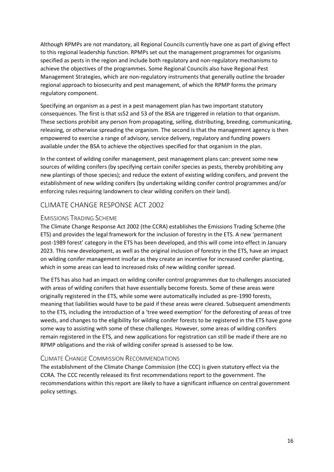Although RPMPs are not mandatory, all Regional Councils currently have one as part of giving effect to this regional leadership function. RPMPs set out the management programmes for organisms specified as pests in the region and include both regulatory and non-regulatory mechanisms to achieve the objectives of the programmes. Some Regional Councils also have Regional Pest Management Strategies, which are non-regulatory instruments that generally outline the broader regional approach to biosecurity and pest management, of which the RPMP forms the primary regulatory component.

Specifying an organism as a pest in a pest management plan has two important statutory consequences. The first is that ss52 and 53 of the BSA are triggered in relation to that organism. These sections prohibit any person from propagating, selling, distributing, breeding, communicating, releasing, or otherwise spreading the organism. The second is that the management agency is then empowered to exercise a range of advisory, service delivery, regulatory and funding powers available under the BSA to achieve the objectives specified for that organism in the plan.

In the context of wilding conifer management, pest management plans can: prevent some new sources of wilding conifers (by specifying certain conifer species as pests, thereby prohibiting any new plantings of those species); and reduce the extent of existing wilding conifers, and prevent the establishment of new wilding conifers (by undertaking wilding conifer control programmes and/or enforcing rules requiring landowners to clear wilding conifers on their land).

### <span id="page-15-0"></span>CLIMATE CHANGE RESPONSE ACT 2002

#### <span id="page-15-1"></span>EMISSIONS TRADING SCHEME

The Climate Change Response Act 2002 (the CCRA) establishes the Emissions Trading Scheme (the ETS) and provides the legal framework for the inclusion of forestry in the ETS. A new 'permanent post-1989 forest' category in the ETS has been developed, and this will come into effect in January 2023. This new development, as well as the original inclusion of forestry in the ETS, have an impact on wilding conifer management insofar as they create an incentive for increased conifer planting, which in some areas can lead to increased risks of new wilding conifer spread.

The ETS has also had an impact on wilding conifer control programmes due to challenges associated with areas of wilding conifers that have essentially become forests. Some of these areas were originally registered in the ETS, while some were automatically included as pre-1990 forests, meaning that liabilities would have to be paid if these areas were cleared. Subsequent amendments to the ETS, including the introduction of a 'tree weed exemption' for the deforesting of areas of tree weeds, and changes to the eligibility for wilding conifer forests to be registered in the ETS have gone some way to assisting with some of these challenges. However, some areas of wilding conifers remain registered in the ETS, and new applications for registration can still be made if there are no RPMP obligations and the risk of wilding conifer spread is assessed to be low.

#### <span id="page-15-2"></span>CLIMATE CHANGE COMMISSION RECOMMENDATIONS

The establishment of the Climate Change Commission (the CCC) is given statutory effect via the CCRA. The CCC recently released its first recommendations report to the government. The recommendations within this report are likely to have a significant influence on central government policy settings.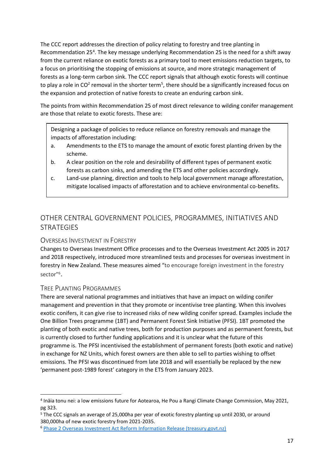The CCC report addresses the direction of policy relating to forestry and tree planting in Recommendation 25<sup>4</sup>. The key message underlying Recommendation 25 is the need for a shift away from the current reliance on exotic forests as a primary tool to meet emissions reduction targets, to a focus on prioritising the stopping of emissions at source, and more strategic management of forests as a long-term carbon sink. The CCC report signals that although exotic forests will continue to play a role in CO<sup>2</sup> removal in the shorter term<sup>5</sup>, there should be a significantly increased focus on the expansion and protection of native forests to create an enduring carbon sink.

The points from within Recommendation 25 of most direct relevance to wilding conifer management are those that relate to exotic forests. These are:

Designing a package of policies to reduce reliance on forestry removals and manage the impacts of afforestation including:

- a. Amendments to the ETS to manage the amount of exotic forest planting driven by the scheme.
- b. A clear position on the role and desirability of different types of permanent exotic forests as carbon sinks, and amending the ETS and other policies accordingly.
- c. Land-use planning, direction and tools to help local government manage afforestation, mitigate localised impacts of afforestation and to achieve environmental co-benefits.

## <span id="page-16-0"></span>OTHER CENTRAL GOVERNMENT POLICIES, PROGRAMMES, INITIATIVES AND **STRATEGIES**

#### <span id="page-16-1"></span>OVERSEAS INVESTMENT IN FORESTRY

Changes to Overseas Investment Office processes and to the Overseas Investment Act 2005 in 2017 and 2018 respectively, introduced more streamlined tests and processes for overseas investment in forestry in New Zealand. These measures aimed "to encourage foreign investment in the forestry sector"<sup>6</sup>.

#### <span id="page-16-2"></span>TREE PLANTING PROGRAMMES

There are several national programmes and initiatives that have an impact on wilding conifer management and prevention in that they promote or incentivise tree planting. When this involves exotic conifers, it can give rise to increased risks of new wilding conifer spread. Examples include the One Billion Trees programme (1BT) and Permanent Forest Sink Initiative (PFSI). 1BT promoted the planting of both exotic and native trees, both for production purposes and as permanent forests, but is currently closed to further funding applications and it is unclear what the future of this programme is. The PFSI incentivised the establishment of permanent forests (both exotic and native) in exchange for NZ Units, which forest owners are then able to sell to parties wishing to offset emissions. The PFSI was discontinued from late 2018 and will essentially be replaced by the new 'permanent post-1989 forest' category in the ETS from January 2023.

<sup>4</sup> Ināia tonu nei: a low emissions future for Aotearoa, He Pou a Rangi Climate Change Commission, May 2021, pg 323.

<sup>5</sup> The CCC signals an average of 25,000ha per year of exotic forestry planting up until 2030, or around 380,000ha of new exotic forestry from 2021-2035.

<sup>6</sup> [Phase 2 Overseas Investment Act Reform Information Release \(treasury.govt.nz\)](https://www.treasury.govt.nz/publications/information-release/phase-2-overseas-investment-act-reform)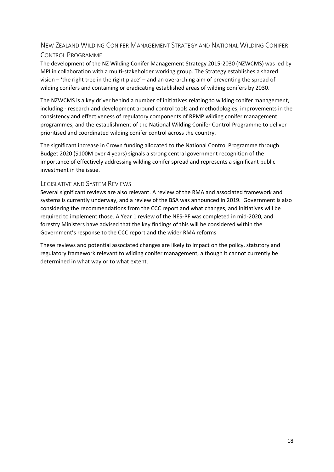### <span id="page-17-0"></span>NEW ZEALAND WILDING CONIFER MANAGEMENT STRATEGY AND NATIONAL WILDING CONIFER CONTROL PROGRAMME

The development of the NZ Wilding Conifer Management Strategy 2015-2030 (NZWCMS) was led by MPI in collaboration with a multi-stakeholder working group. The Strategy establishes a shared vision – 'the right tree in the right place' – and an overarching aim of preventing the spread of wilding conifers and containing or eradicating established areas of wilding conifers by 2030.

The NZWCMS is a key driver behind a number of initiatives relating to wilding conifer management, including - research and development around control tools and methodologies, improvements in the consistency and effectiveness of regulatory components of RPMP wilding conifer management programmes, and the establishment of the National Wilding Conifer Control Programme to deliver prioritised and coordinated wilding conifer control across the country.

The significant increase in Crown funding allocated to the National Control Programme through Budget 2020 (\$100M over 4 years) signals a strong central government recognition of the importance of effectively addressing wilding conifer spread and represents a significant public investment in the issue.

#### <span id="page-17-1"></span>LEGISLATIVE AND SYSTEM REVIEWS

Several significant reviews are also relevant. A review of the RMA and associated framework and systems is currently underway, and a review of the BSA was announced in 2019. Government is also considering the recommendations from the CCC report and what changes, and initiatives will be required to implement those. A Year 1 review of the NES-PF was completed in mid-2020, and forestry Ministers have advised that the key findings of this will be considered within the Government's response to the CCC report and the wider RMA reforms

These reviews and potential associated changes are likely to impact on the policy, statutory and regulatory framework relevant to wilding conifer management, although it cannot currently be determined in what way or to what extent.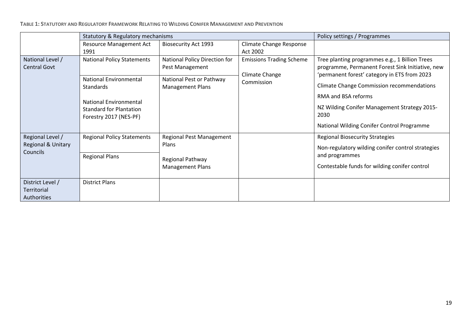<span id="page-18-0"></span>

|                                  | Statutory & Regulatory mechanisms                        |                                                  |                                 | Policy settings / Programmes                                                                       |
|----------------------------------|----------------------------------------------------------|--------------------------------------------------|---------------------------------|----------------------------------------------------------------------------------------------------|
|                                  | <b>Resource Management Act</b>                           | <b>Biosecurity Act 1993</b>                      | Climate Change Response         |                                                                                                    |
|                                  | 1991                                                     |                                                  | Act 2002                        |                                                                                                    |
| National Level /<br>Central Govt | <b>National Policy Statements</b>                        | National Policy Direction for<br>Pest Management | <b>Emissions Trading Scheme</b> | Tree planting programmes e.g., 1 Billion Trees<br>programme, Permanent Forest Sink Initiative, new |
|                                  | <b>National Environmental</b>                            | National Pest or Pathway                         | Climate Change                  | 'permanent forest' category in ETS from 2023                                                       |
|                                  | <b>Standards</b>                                         | <b>Management Plans</b>                          | Commission                      | <b>Climate Change Commission recommendations</b>                                                   |
|                                  | <b>National Environmental</b>                            |                                                  |                                 | <b>RMA and BSA reforms</b>                                                                         |
|                                  | <b>Standard for Plantation</b><br>Forestry 2017 (NES-PF) |                                                  |                                 | NZ Wilding Conifer Management Strategy 2015-<br>2030                                               |
|                                  |                                                          |                                                  |                                 | National Wilding Conifer Control Programme                                                         |
| Regional Level /                 | <b>Regional Policy Statements</b>                        | <b>Regional Pest Management</b>                  |                                 | <b>Regional Biosecurity Strategies</b>                                                             |
| Regional & Unitary               |                                                          | Plans                                            |                                 | Non-regulatory wilding conifer control strategies                                                  |
| Councils                         | <b>Regional Plans</b>                                    | Regional Pathway                                 |                                 | and programmes                                                                                     |
|                                  |                                                          | <b>Management Plans</b>                          |                                 | Contestable funds for wilding conifer control                                                      |
|                                  |                                                          |                                                  |                                 |                                                                                                    |
| District Level /                 | <b>District Plans</b>                                    |                                                  |                                 |                                                                                                    |
| Territorial                      |                                                          |                                                  |                                 |                                                                                                    |
| Authorities                      |                                                          |                                                  |                                 |                                                                                                    |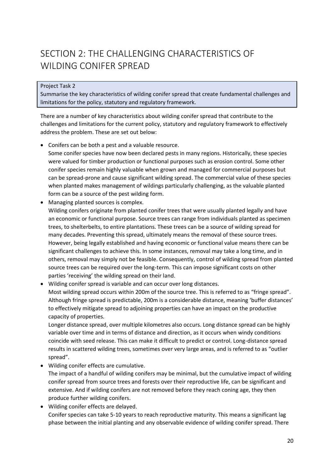## <span id="page-19-0"></span>SECTION 2: THE CHALLENGING CHARACTERISTICS OF WILDING CONIFER SPREAD

Project Task 2

Summarise the key characteristics of wilding conifer spread that create fundamental challenges and limitations for the policy, statutory and regulatory framework.

There are a number of key characteristics about wilding conifer spread that contribute to the challenges and limitations for the current policy, statutory and regulatory framework to effectively address the problem. These are set out below:

- Conifers can be both a pest and a valuable resource. Some conifer species have now been declared pests in many regions. Historically, these species were valued for timber production or functional purposes such as erosion control. Some other conifer species remain highly valuable when grown and managed for commercial purposes but can be spread-prone and cause significant wilding spread. The commercial value of these species when planted makes management of wildings particularly challenging, as the valuable planted form can be a source of the pest wilding form.
- Managing planted sources is complex. Wilding conifers originate from planted conifer trees that were usually planted legally and have an economic or functional purpose. Source trees can range from individuals planted as specimen trees, to shelterbelts, to entire plantations. These trees can be a source of wilding spread for many decades. Preventing this spread, ultimately means the removal of these source trees. However, being legally established and having economic or functional value means there can be significant challenges to achieve this. In some instances, removal may take a long time, and in others, removal may simply not be feasible. Consequently, control of wilding spread from planted source trees can be required over the long-term. This can impose significant costs on other parties 'receiving' the wilding spread on their land.
- Wilding conifer spread is variable and can occur over long distances. Most wilding spread occurs within 200m of the source tree. This is referred to as "fringe spread". Although fringe spread is predictable, 200m is a considerable distance, meaning 'buffer distances' to effectively mitigate spread to adjoining properties can have an impact on the productive capacity of properties.

Longer distance spread, over multiple kilometres also occurs. Long distance spread can be highly variable over time and in terms of distance and direction, as it occurs when windy conditions coincide with seed release. This can make it difficult to predict or control. Long-distance spread results in scattered wilding trees, sometimes over very large areas, and is referred to as "outlier spread".

• Wilding conifer effects are cumulative.

The impact of a handful of wilding conifers may be minimal, but the cumulative impact of wilding conifer spread from source trees and forests over their reproductive life, can be significant and extensive. And if wilding conifers are not removed before they reach coning age, they then produce further wilding conifers.

• Wilding conifer effects are delayed. Conifer species can take 5-10 years to reach reproductive maturity. This means a significant lag phase between the initial planting and any observable evidence of wilding conifer spread. There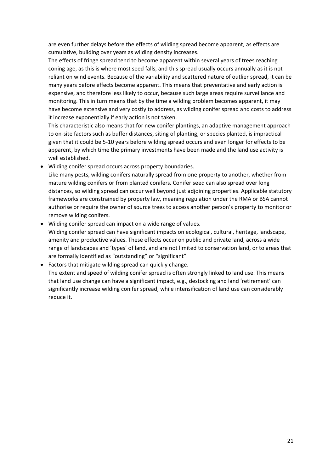are even further delays before the effects of wilding spread become apparent, as effects are cumulative, building over years as wilding density increases.

The effects of fringe spread tend to become apparent within several years of trees reaching coning age, as this is where most seed falls, and this spread usually occurs annually as it is not reliant on wind events. Because of the variability and scattered nature of outlier spread, it can be many years before effects become apparent. This means that preventative and early action is expensive, and therefore less likely to occur, because such large areas require surveillance and monitoring. This in turn means that by the time a wilding problem becomes apparent, it may have become extensive and very costly to address, as wilding conifer spread and costs to address it increase exponentially if early action is not taken.

This characteristic also means that for new conifer plantings, an adaptive management approach to on-site factors such as buffer distances, siting of planting, or species planted, is impractical given that it could be 5-10 years before wilding spread occurs and even longer for effects to be apparent, by which time the primary investments have been made and the land use activity is well established.

• Wilding conifer spread occurs across property boundaries.

Like many pests, wilding conifers naturally spread from one property to another, whether from mature wilding conifers or from planted conifers. Conifer seed can also spread over long distances, so wilding spread can occur well beyond just adjoining properties. Applicable statutory frameworks are constrained by property law, meaning regulation under the RMA or BSA cannot authorise or require the owner of source trees to access another person's property to monitor or remove wilding conifers.

- Wilding conifer spread can impact on a wide range of values. Wilding conifer spread can have significant impacts on ecological, cultural, heritage, landscape, amenity and productive values. These effects occur on public and private land, across a wide range of landscapes and 'types' of land, and are not limited to conservation land, or to areas that are formally identified as "outstanding" or "significant".
- Factors that mitigate wilding spread can quickly change.

The extent and speed of wilding conifer spread is often strongly linked to land use. This means that land use change can have a significant impact, e.g., destocking and land 'retirement' can significantly increase wilding conifer spread, while intensification of land use can considerably reduce it.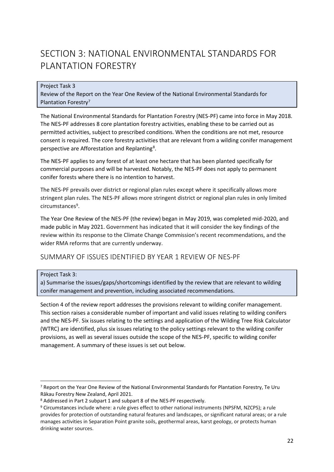## <span id="page-21-0"></span>SECTION 3: NATIONAL ENVIRONMENTAL STANDARDS FOR PLANTATION FORESTRY

#### Project Task 3

Review of the Report on the Year One Review of the National Environmental Standards for Plantation Forestry<sup>7</sup>

The National Environmental Standards for Plantation Forestry (NES-PF) came into force in May 2018. The NES-PF addresses 8 core plantation forestry activities, enabling these to be carried out as permitted activities, subject to prescribed conditions. When the conditions are not met, resource consent is required. The core forestry activities that are relevant from a wilding conifer management perspective are Afforestation and Replanting<sup>8</sup>.

The NES-PF applies to any forest of at least one hectare that has been planted specifically for commercial purposes and will be harvested. Notably, the NES-PF does not apply to permanent conifer forests where there is no intention to harvest.

The NES-PF prevails over district or regional plan rules except where it specifically allows more stringent plan rules. The NES-PF allows more stringent district or regional plan rules in only limited circumstances<sup>9</sup>.

The Year One Review of the NES-PF (the review) began in May 2019, was completed mid-2020, and made public in May 2021. Government has indicated that it will consider the key findings of the review within its response to the Climate Change Commission's recent recommendations, and the wider RMA reforms that are currently underway.

### <span id="page-21-1"></span>SUMMARY OF ISSUES IDENTIFIED BY YEAR 1 REVIEW OF NES-PF

#### Project Task 3:

a) Summarise the issues/gaps/shortcomings identified by the review that are relevant to wilding conifer management and prevention, including associated recommendations.

Section 4 of the review report addresses the provisions relevant to wilding conifer management. This section raises a considerable number of important and valid issues relating to wilding conifers and the NES-PF. Six issues relating to the settings and application of the Wilding Tree Risk Calculator (WTRC) are identified, plus six issues relating to the policy settings relevant to the wilding conifer provisions, as well as several issues outside the scope of the NES-PF, specific to wilding conifer management. A summary of these issues is set out below.

<sup>7</sup> Report on the Year One Review of the National Environmental Standards for Plantation Forestry, Te Uru Rākau Forestry New Zealand, April 2021.

<sup>8</sup> Addressed in Part 2 subpart 1 and subpart 8 of the NES-PF respectively.

<sup>9</sup> Circumstances include where: a rule gives effect to other national instruments (NPSFM, NZCPS); a rule provides for protection of outstanding natural features and landscapes, or significant natural areas; or a rule manages activities in Separation Point granite soils, geothermal areas, karst geology, or protects human drinking water sources.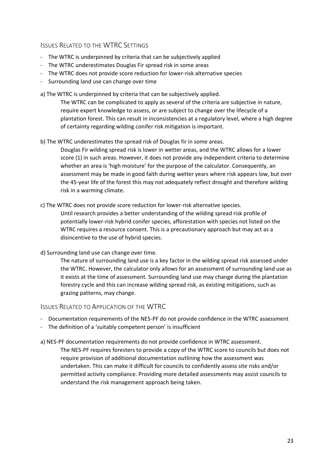#### <span id="page-22-0"></span>ISSUES RELATED TO THE WTRC SETTINGS

- The WTRC is underpinned by criteria that can be subjectively applied
- The WTRC underestimates Douglas Fir spread risk in some areas
- The WTRC does not provide score reduction for lower-risk alternative species
- Surrounding land use can change over time

a) The WTRC is underpinned by criteria that can be subjectively applied.

The WTRC can be complicated to apply as several of the criteria are subjective in nature, require expert knowledge to assess, or are subject to change over the lifecycle of a plantation forest. This can result in inconsistencies at a regulatory level, where a high degree of certainty regarding wilding conifer risk mitigation is important.

b) The WTRC underestimates the spread risk of Douglas fir in some areas.

Douglas Fir wilding spread risk is lower in wetter areas, and the WTRC allows for a lower score (1) in such areas. However, it does not provide any independent criteria to determine whether an area is 'high moisture' for the purpose of the calculator. Consequently, an assessment may be made in good faith during wetter years where risk appears low, but over the 45-year life of the forest this may not adequately reflect drought and therefore wilding risk in a warming climate.

- c) The WTRC does not provide score reduction for lower-risk alternative species. Until research provides a better understanding of the wilding spread risk profile of potentially lower-risk hybrid conifer species, afforestation with species not listed on the WTRC requires a resource consent. This is a precautionary approach but may act as a disincentive to the use of hybrid species.
- d) Surrounding land use can change over time.

The nature of surrounding land use is a key factor in the wilding spread risk assessed under the WTRC. However, the calculator only allows for an assessment of surrounding land use as it exists at the time of assessment. Surrounding land use may change during the plantation forestry cycle and this can increase wilding spread risk, as existing mitigations, such as grazing patterns, may change.

<span id="page-22-1"></span>ISSUES RELATED TO APPLICATION OF THE WTRC

- Documentation requirements of the NES-PF do not provide confidence in the WTRC assessment
- The definition of a 'suitably competent person' is insufficient
- a) NES-PF documentation requirements do not provide confidence in WTRC assessment. The NES-PF requires foresters to provide a copy of the WTRC score to councils but does not require provision of additional documentation outlining how the assessment was undertaken. This can make it difficult for councils to confidently assess site risks and/or permitted activity compliance. Providing more detailed assessments may assist councils to understand the risk management approach being taken.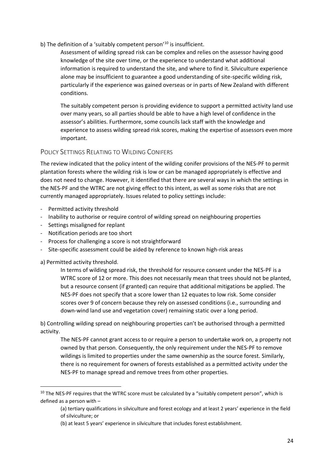#### b) The definition of a 'suitably competent person'<sup>10</sup> is insufficient.

Assessment of wilding spread risk can be complex and relies on the assessor having good knowledge of the site over time, or the experience to understand what additional information is required to understand the site, and where to find it. Silviculture experience alone may be insufficient to guarantee a good understanding of site-specific wilding risk, particularly if the experience was gained overseas or in parts of New Zealand with different conditions.

The suitably competent person is providing evidence to support a permitted activity land use over many years, so all parties should be able to have a high level of confidence in the assessor's abilities. Furthermore, some councils lack staff with the knowledge and experience to assess wilding spread risk scores, making the expertise of assessors even more important.

#### <span id="page-23-0"></span>POLICY SETTINGS RELATING TO WILDING CONIFERS

The review indicated that the policy intent of the wilding conifer provisions of the NES-PF to permit plantation forests where the wilding risk is low or can be managed appropriately is effective and does not need to change. However, it identified that there are several ways in which the settings in the NES-PF and the WTRC are not giving effect to this intent, as well as some risks that are not currently managed appropriately. Issues related to policy settings include:

- Permitted activity threshold
- Inability to authorise or require control of wilding spread on neighbouring properties
- Settings misaligned for replant
- Notification periods are too short
- Process for challenging a score is not straightforward
- Site-specific assessment could be aided by reference to known high-risk areas

a) Permitted activity threshold.

In terms of wilding spread risk, the threshold for resource consent under the NES-PF is a WTRC score of 12 or more. This does not necessarily mean that trees should not be planted, but a resource consent (if granted) can require that additional mitigations be applied. The NES-PF does not specify that a score lower than 12 equates to low risk. Some consider scores over 9 of concern because they rely on assessed conditions (i.e., surrounding and down-wind land use and vegetation cover) remaining static over a long period.

b) Controlling wilding spread on neighbouring properties can't be authorised through a permitted activity.

The NES-PF cannot grant access to or require a person to undertake work on, a property not owned by that person. Consequently, the only requirement under the NES-PF to remove wildings is limited to properties under the same ownership as the source forest. Similarly, there is no requirement for owners of forests established as a permitted activity under the NES-PF to manage spread and remove trees from other properties.

<sup>&</sup>lt;sup>10</sup> The NES-PF requires that the WTRC score must be calculated by a "suitably competent person", which is defined as a person with –

<sup>(</sup>a) tertiary qualifications in silviculture and forest ecology and at least 2 years' experience in the field of silviculture; or

<sup>(</sup>b) at least 5 years' experience in silviculture that includes forest establishment.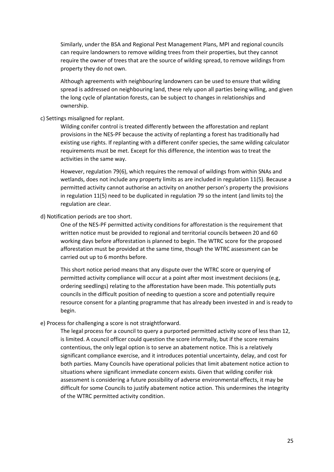Similarly, under the BSA and Regional Pest Management Plans, MPI and regional councils can require landowners to remove wilding trees from their properties, but they cannot require the owner of trees that are the source of wilding spread, to remove wildings from property they do not own.

Although agreements with neighbouring landowners can be used to ensure that wilding spread is addressed on neighbouring land, these rely upon all parties being willing, and given the long cycle of plantation forests, can be subject to changes in relationships and ownership.

#### c) Settings misaligned for replant.

Wilding conifer control is treated differently between the afforestation and replant provisions in the NES-PF because the activity of replanting a forest has traditionally had existing use rights. If replanting with a different conifer species, the same wilding calculator requirements must be met. Except for this difference, the intention was to treat the activities in the same way.

However, regulation 79(6), which requires the removal of wildings from within SNAs and wetlands, does not include any property limits as are included in regulation 11(5). Because a permitted activity cannot authorise an activity on another person's property the provisions in regulation 11(5) need to be duplicated in regulation 79 so the intent (and limits to) the regulation are clear.

#### d) Notification periods are too short.

One of the NES-PF permitted activity conditions for afforestation is the requirement that written notice must be provided to regional and territorial councils between 20 and 60 working days before afforestation is planned to begin. The WTRC score for the proposed afforestation must be provided at the same time, though the WTRC assessment can be carried out up to 6 months before.

This short notice period means that any dispute over the WTRC score or querying of permitted activity compliance will occur at a point after most investment decisions (e.g, ordering seedlings) relating to the afforestation have been made. This potentially puts councils in the difficult position of needing to question a score and potentially require resource consent for a planting programme that has already been invested in and is ready to begin.

#### e) Process for challenging a score is not straightforward.

The legal process for a council to query a purported permitted activity score of less than 12, is limited. A council officer could question the score informally, but if the score remains contentious, the only legal option is to serve an abatement notice. This is a relatively significant compliance exercise, and it introduces potential uncertainty, delay, and cost for both parties. Many Councils have operational policies that limit abatement notice action to situations where significant immediate concern exists. Given that wilding conifer risk assessment is considering a future possibility of adverse environmental effects, it may be difficult for some Councils to justify abatement notice action. This undermines the integrity of the WTRC permitted activity condition.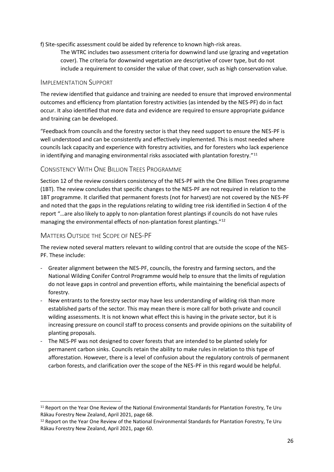f) Site-specific assessment could be aided by reference to known high-risk areas.

The WTRC includes two assessment criteria for downwind land use (grazing and vegetation cover). The criteria for downwind vegetation are descriptive of cover type, but do not include a requirement to consider the value of that cover, such as high conservation value.

#### <span id="page-25-0"></span>IMPLEMENTATION SUPPORT

The review identified that guidance and training are needed to ensure that improved environmental outcomes and efficiency from plantation forestry activities (as intended by the NES-PF) do in fact occur. It also identified that more data and evidence are required to ensure appropriate guidance and training can be developed.

"Feedback from councils and the forestry sector is that they need support to ensure the NES-PF is well understood and can be consistently and effectively implemented. This is most needed where councils lack capacity and experience with forestry activities, and for foresters who lack experience in identifying and managing environmental risks associated with plantation forestry."<sup>11</sup>

#### <span id="page-25-1"></span>CONSISTENCY WITH ONE BILLION TREES PROGRAMME

Section 12 of the review considers consistency of the NES-PF with the One Billion Trees programme (1BT). The review concludes that specific changes to the NES-PF are not required in relation to the 1BT programme. It clarified that permanent forests (not for harvest) are not covered by the NES-PF and noted that the gaps in the regulations relating to wilding tree risk identified in Section 4 of the report "…are also likely to apply to non-plantation forest plantings if councils do not have rules managing the environmental effects of non-plantation forest plantings."<sup>12</sup>

#### <span id="page-25-2"></span>MATTERS OUTSIDE THE SCOPE OF NES-PF

The review noted several matters relevant to wilding control that are outside the scope of the NES-PF. These include:

- Greater alignment between the NES-PF, councils, the forestry and farming sectors, and the National Wilding Conifer Control Programme would help to ensure that the limits of regulation do not leave gaps in control and prevention efforts, while maintaining the beneficial aspects of forestry.
- New entrants to the forestry sector may have less understanding of wilding risk than more established parts of the sector. This may mean there is more call for both private and council wilding assessments. It is not known what effect this is having in the private sector, but it is increasing pressure on council staff to process consents and provide opinions on the suitability of planting proposals.
- The NES-PF was not designed to cover forests that are intended to be planted solely for permanent carbon sinks. Councils retain the ability to make rules in relation to this type of afforestation. However, there is a level of confusion about the regulatory controls of permanent carbon forests, and clarification over the scope of the NES-PF in this regard would be helpful.

<sup>&</sup>lt;sup>11</sup> Report on the Year One Review of the National Environmental Standards for Plantation Forestry, Te Uru Rākau Forestry New Zealand, April 2021, page 68.

<sup>12</sup> Report on the Year One Review of the National Environmental Standards for Plantation Forestry, Te Uru Rākau Forestry New Zealand, April 2021, page 60.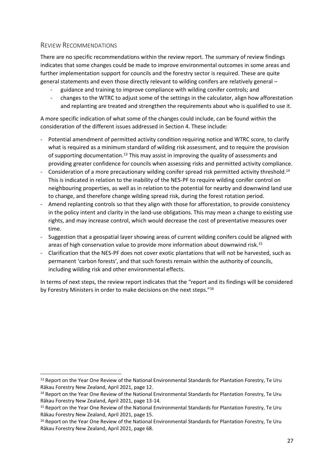#### <span id="page-26-0"></span>REVIEW RECOMMENDATIONS

There are no specific recommendations within the review report. The summary of review findings indicates that some changes could be made to improve environmental outcomes in some areas and further implementation support for councils and the forestry sector is required. These are quite general statements and even those directly relevant to wilding conifers are relatively general –

- guidance and training to improve compliance with wilding conifer controls; and
- changes to the WTRC to adjust some of the settings in the calculator, align how afforestation and replanting are treated and strengthen the requirements about who is qualified to use it.

A more specific indication of what some of the changes could include, can be found within the consideration of the different issues addressed in Section 4. These include:

- Potential amendment of permitted activity condition requiring notice and WTRC score, to clarify what is required as a minimum standard of wilding risk assessment, and to require the provision of supporting documentation.<sup>13</sup> This may assist in improving the quality of assessments and providing greater confidence for councils when assessing risks and permitted activity compliance.
- Consideration of a more precautionary wilding conifer spread risk permitted activity threshold.<sup>14</sup> This is indicated in relation to the inability of the NES-PF to require wilding conifer control on neighbouring properties, as well as in relation to the potential for nearby and downwind land use to change, and therefore change wilding spread risk, during the forest rotation period.
- Amend replanting controls so that they align with those for afforestation, to provide consistency in the policy intent and clarity in the land-use obligations. This may mean a change to existing use rights, and may increase control, which would decrease the cost of preventative measures over time.
- Suggestion that a geospatial layer showing areas of current wilding conifers could be aligned with areas of high conservation value to provide more information about downwind risk.<sup>15</sup>
- Clarification that the NES-PF does not cover exotic plantations that will not be harvested, such as permanent 'carbon forests', and that such forests remain within the authority of councils, including wilding risk and other environmental effects.

In terms of next steps, the review report indicates that the "report and its findings will be considered by Forestry Ministers in order to make decisions on the next steps."<sup>16</sup>

<sup>&</sup>lt;sup>13</sup> Report on the Year One Review of the National Environmental Standards for Plantation Forestry, Te Uru Rākau Forestry New Zealand, April 2021, page 12.

<sup>&</sup>lt;sup>14</sup> Report on the Year One Review of the National Environmental Standards for Plantation Forestry, Te Uru Rākau Forestry New Zealand, April 2021, page 13-14.

<sup>&</sup>lt;sup>15</sup> Report on the Year One Review of the National Environmental Standards for Plantation Forestry, Te Uru Rākau Forestry New Zealand, April 2021, page 15.

<sup>&</sup>lt;sup>16</sup> Report on the Year One Review of the National Environmental Standards for Plantation Forestry. Te Uru Rākau Forestry New Zealand, April 2021, page 68.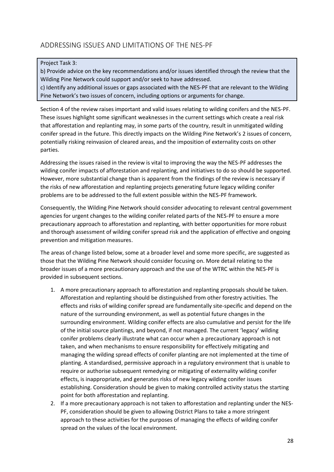## <span id="page-27-0"></span>ADDRESSING ISSUES AND LIMITATIONS OF THE NES-PF

#### Project Task 3:

b) Provide advice on the key recommendations and/or issues identified through the review that the Wilding Pine Network could support and/or seek to have addressed.

c) Identify any additional issues or gaps associated with the NES-PF that are relevant to the Wilding Pine Network's two issues of concern, including options or arguments for change.

Section 4 of the review raises important and valid issues relating to wilding conifers and the NES-PF. These issues highlight some significant weaknesses in the current settings which create a real risk that afforestation and replanting may, in some parts of the country, result in unmitigated wilding conifer spread in the future. This directly impacts on the Wilding Pine Network's 2 issues of concern, potentially risking reinvasion of cleared areas, and the imposition of externality costs on other parties.

Addressing the issues raised in the review is vital to improving the way the NES-PF addresses the wilding conifer impacts of afforestation and replanting, and initiatives to do so should be supported. However, more substantial change than is apparent from the findings of the review is necessary if the risks of new afforestation and replanting projects generating future legacy wilding conifer problems are to be addressed to the full extent possible within the NES-PF framework.

Consequently, the Wilding Pine Network should consider advocating to relevant central government agencies for urgent changes to the wilding conifer related parts of the NES-PF to ensure a more precautionary approach to afforestation and replanting, with better opportunities for more robust and thorough assessment of wilding conifer spread risk and the application of effective and ongoing prevention and mitigation measures.

The areas of change listed below, some at a broader level and some more specific, are suggested as those that the Wilding Pine Network should consider focusing on. More detail relating to the broader issues of a more precautionary approach and the use of the WTRC within the NES-PF is provided in subsequent sections.

- 1. A more precautionary approach to afforestation and replanting proposals should be taken. Afforestation and replanting should be distinguished from other forestry activities. The effects and risks of wilding conifer spread are fundamentally site-specific and depend on the nature of the surrounding environment, as well as potential future changes in the surrounding environment. Wilding conifer effects are also cumulative and persist for the life of the initial source plantings, and beyond, if not managed. The current 'legacy' wilding conifer problems clearly illustrate what can occur when a precautionary approach is not taken, and when mechanisms to ensure responsibility for effectively mitigating and managing the wilding spread effects of conifer planting are not implemented at the time of planting. A standardised, permissive approach in a regulatory environment that is unable to require or authorise subsequent remedying or mitigating of externality wilding conifer effects, is inappropriate, and generates risks of new legacy wilding conifer issues establishing. Consideration should be given to making controlled activity status the starting point for both afforestation and replanting.
- 2. If a more precautionary approach is not taken to afforestation and replanting under the NES-PF, consideration should be given to allowing District Plans to take a more stringent approach to these activities for the purposes of managing the effects of wilding conifer spread on the values of the local environment.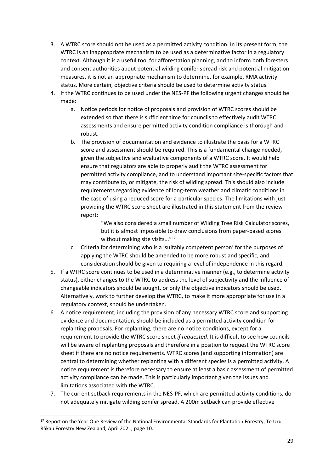- 3. A WTRC score should not be used as a permitted activity condition. In its present form, the WTRC is an inappropriate mechanism to be used as a determinative factor in a regulatory context. Although it is a useful tool for afforestation planning, and to inform both foresters and consent authorities about potential wilding conifer spread risk and potential mitigation measures, it is not an appropriate mechanism to determine, for example, RMA activity status. More certain, objective criteria should be used to determine activity status.
- 4. If the WTRC continues to be used under the NES-PF the following urgent changes should be made:
	- a. Notice periods for notice of proposals and provision of WTRC scores should be extended so that there is sufficient time for councils to effectively audit WTRC assessments and ensure permitted activity condition compliance is thorough and robust.
	- b. The provision of documentation and evidence to illustrate the basis for a WTRC score and assessment should be required. This is a fundamental change needed, given the subjective and evaluative components of a WTRC score. It would help ensure that regulators are able to properly audit the WTRC assessment for permitted activity compliance, and to understand important site-specific factors that may contribute to, or mitigate, the risk of wilding spread. This should also include requirements regarding evidence of long-term weather and climatic conditions in the case of using a reduced score for a particular species. The limitations with just providing the WTRC score sheet are illustrated in this statement from the review report:

"We also considered a small number of Wilding Tree Risk Calculator scores, but it is almost impossible to draw conclusions from paper-based scores without making site visits..."<sup>17</sup>

- c. Criteria for determining who is a 'suitably competent person' for the purposes of applying the WTRC should be amended to be more robust and specific, and consideration should be given to requiring a level of independence in this regard.
- 5. If a WTRC score continues to be used in a determinative manner (e.g., to determine activity status), either changes to the WTRC to address the level of subjectivity and the influence of changeable indicators should be sought, or only the objective indicators should be used. Alternatively, work to further develop the WTRC, to make it more appropriate for use in a regulatory context, should be undertaken.
- 6. A notice requirement, including the provision of any necessary WTRC score and supporting evidence and documentation, should be included as a permitted activity condition for replanting proposals. For replanting, there are no notice conditions, except for a requirement to provide the WTRC score sheet *if requested*. It is difficult to see how councils will be aware of replanting proposals and therefore in a position to request the WTRC score sheet if there are no notice requirements. WTRC scores (and supporting information) are central to determining whether replanting with a different species is a permitted activity. A notice requirement is therefore necessary to ensure at least a basic assessment of permitted activity compliance can be made. This is particularly important given the issues and limitations associated with the WTRC.
- 7. The current setback requirements in the NES-PF, which are permitted activity conditions, do not adequately mitigate wilding conifer spread. A 200m setback can provide effective

<sup>&</sup>lt;sup>17</sup> Report on the Year One Review of the National Environmental Standards for Plantation Forestry. Te Uru Rākau Forestry New Zealand, April 2021, page 10.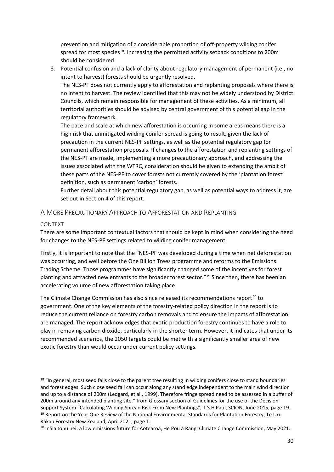prevention and mitigation of a considerable proportion of off-property wilding conifer spread for most species<sup>18</sup>. Increasing the permitted activity setback conditions to 200m should be considered.

8. Potential confusion and a lack of clarity about regulatory management of permanent (i.e., no intent to harvest) forests should be urgently resolved.

The NES-PF does not currently apply to afforestation and replanting proposals where there is no intent to harvest. The review identified that this may not be widely understood by District Councils, which remain responsible for management of these activities. As a minimum, all territorial authorities should be advised by central government of this potential gap in the regulatory framework.

The pace and scale at which new afforestation is occurring in some areas means there is a high risk that unmitigated wilding conifer spread is going to result, given the lack of precaution in the current NES-PF settings, as well as the potential regulatory gap for permanent afforestation proposals. If changes to the afforestation and replanting settings of the NES-PF are made, implementing a more precautionary approach, and addressing the issues associated with the WTRC, consideration should be given to extending the ambit of these parts of the NES-PF to cover forests not currently covered by the 'plantation forest' definition, such as permanent 'carbon' forests.

Further detail about this potential regulatory gap, as well as potential ways to address it, are set out in Section 4 of this report.

#### <span id="page-29-0"></span>A MORE PRECAUTIONARY APPROACH TO AFFORESTATION AND REPLANTING

#### CONTEXT

There are some important contextual factors that should be kept in mind when considering the need for changes to the NES-PF settings related to wilding conifer management.

Firstly, it is important to note that the "NES-PF was developed during a time when net deforestation was occurring, and well before the One Billion Trees programme and reforms to the Emissions Trading Scheme. Those programmes have significantly changed some of the incentives for forest planting and attracted new entrants to the broader forest sector."<sup>19</sup> Since then, there has been an accelerating volume of new afforestation taking place.

The Climate Change Commission has also since released its recommendations report<sup>20</sup> to government. One of the key elements of the forestry-related policy direction in the report is to reduce the current reliance on forestry carbon removals and to ensure the impacts of afforestation are managed. The report acknowledges that exotic production forestry continues to have a role to play in removing carbon dioxide, particularly in the shorter term. However, it indicates that under its recommended scenarios, the 2050 targets could be met with a significantly smaller area of new exotic forestry than would occur under current policy settings.

<sup>&</sup>lt;sup>18</sup> "In general, most seed falls close to the parent tree resulting in wilding conifers close to stand boundaries and forest edges. Such close seed fall can occur along any stand edge independent to the main wind direction and up to a distance of 200m (Ledgard, et al., 1999). Therefore fringe spread need to be assessed in a buffer of 200m around any intended planting site." from Glossary section of Guidelines for the use of the Decision Support System "Calculating Wilding Spread Risk From New Plantings", T.S.H Paul, SCION, June 2015, page 19. <sup>19</sup> Report on the Year One Review of the National Environmental Standards for Plantation Forestry, Te Uru Rākau Forestry New Zealand, April 2021, page 1.

<sup>&</sup>lt;sup>20</sup> Ināia tonu nei: a low emissions future for Aotearoa, He Pou a Rangi Climate Change Commission, May 2021.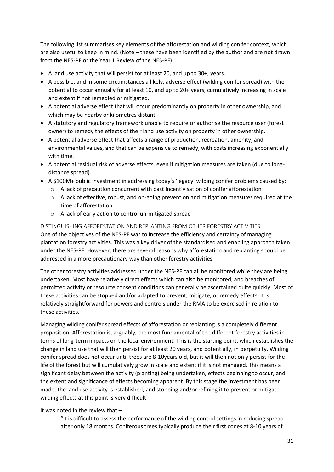The following list summarises key elements of the afforestation and wilding conifer context, which are also useful to keep in mind. (Note – these have been identified by the author and are not drawn from the NES-PF or the Year 1 Review of the NES-PF).

- A land use activity that will persist for at least 20, and up to 30+, years.
- A possible, and in some circumstances a likely, adverse effect (wilding conifer spread) with the potential to occur annually for at least 10, and up to 20+ years, cumulatively increasing in scale and extent if not remedied or mitigated.
- A potential adverse effect that will occur predominantly on property in other ownership, and which may be nearby or kilometres distant.
- A statutory and regulatory framework unable to require or authorise the resource user (forest owner) to remedy the effects of their land use activity on property in other ownership.
- A potential adverse effect that affects a range of production, recreation, amenity, and environmental values, and that can be expensive to remedy, with costs increasing exponentially with time.
- A potential residual risk of adverse effects, even if mitigation measures are taken (due to longdistance spread).
- A \$100M+ public investment in addressing today's 'legacy' wilding conifer problems caused by:
	- o A lack of precaution concurrent with past incentivisation of conifer afforestation
	- $\circ$  A lack of effective, robust, and on-going prevention and mitigation measures required at the time of afforestation
	- o A lack of early action to control un-mitigated spread

DISTINGUISHING AFFORESTATION AND REPLANTING FROM OTHER FORESTRY ACTIVITIES One of the objectives of the NES-PF was to increase the efficiency and certainty of managing plantation forestry activities. This was a key driver of the standardised and enabling approach taken under the NES-PF. However, there are several reasons why afforestation and replanting should be addressed in a more precautionary way than other forestry activities.

The other forestry activities addressed under the NES-PF can all be monitored while they are being undertaken. Most have relatively direct effects which can also be monitored, and breaches of permitted activity or resource consent conditions can generally be ascertained quite quickly. Most of these activities can be stopped and/or adapted to prevent, mitigate, or remedy effects. It is relatively straightforward for powers and controls under the RMA to be exercised in relation to these activities.

Managing wilding conifer spread effects of afforestation or replanting is a completely different proposition. Afforestation is, arguably, the most fundamental of the different forestry activities in terms of long-term impacts on the local environment. This is the starting point, which establishes the change in land use that will then persist for at least 20 years, and potentially, in perpetuity. Wilding conifer spread does not occur until trees are 8-10years old, but it will then not only persist for the life of the forest but will cumulatively grow in scale and extent if it is not managed. This means a significant delay between the activity (planting) being undertaken, effects beginning to occur, and the extent and significance of effects becoming apparent. By this stage the investment has been made, the land use activity is established, and stopping and/or refining it to prevent or mitigate wilding effects at this point is very difficult.

#### It was noted in the review that –

"It is difficult to assess the performance of the wilding control settings in reducing spread after only 18 months. Coniferous trees typically produce their first cones at 8-10 years of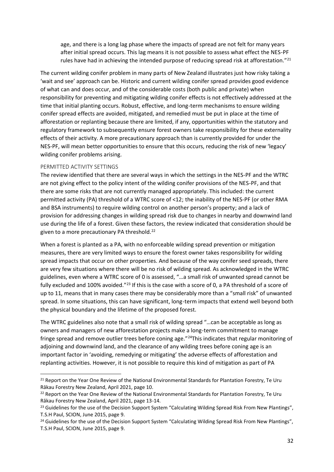age, and there is a long lag phase where the impacts of spread are not felt for many years after initial spread occurs. This lag means it is not possible to assess what effect the NES-PF rules have had in achieving the intended purpose of reducing spread risk at afforestation." $^{21}$ 

The current wilding conifer problem in many parts of New Zealand illustrates just how risky taking a 'wait and see' approach can be. Historic and current wilding conifer spread provides good evidence of what can and does occur, and of the considerable costs (both public and private) when responsibility for preventing and mitigating wilding conifer effects is not effectively addressed at the time that initial planting occurs. Robust, effective, and long-term mechanisms to ensure wilding conifer spread effects are avoided, mitigated, and remedied must be put in place at the time of afforestation or replanting because there are limited, if any, opportunities within the statutory and regulatory framework to subsequently ensure forest owners take responsibility for these externality effects of their activity. A more precautionary approach than is currently provided for under the NES-PF, will mean better opportunities to ensure that this occurs, reducing the risk of new 'legacy' wilding conifer problems arising.

#### PERMITTED ACTIVITY SETTINGS

The review identified that there are several ways in which the settings in the NES-PF and the WTRC are not giving effect to the policy intent of the wilding conifer provisions of the NES-PF, and that there are some risks that are not currently managed appropriately. This included: the current permitted activity (PA) threshold of a WTRC score of <12; the inability of the NES-PF (or other RMA and BSA instruments) to require wilding control on another person's property; and a lack of provision for addressing changes in wilding spread risk due to changes in nearby and downwind land use during the life of a forest. Given these factors, the review indicated that consideration should be given to a more precautionary PA threshold.<sup>22</sup>

When a forest is planted as a PA, with no enforceable wilding spread prevention or mitigation measures, there are very limited ways to ensure the forest owner takes responsibility for wilding spread impacts that occur on other properties. And because of the way conifer seed spreads, there are very few situations where there will be no risk of wilding spread. As acknowledged in the WTRC guidelines, even where a WTRC score of 0 is assessed, "…a small risk of unwanted spread cannot be fully excluded and 100% avoided."<sup>23</sup> If this is the case with a score of 0, a PA threshold of a score of up to 11, means that in many cases there may be considerably more than a "small risk" of unwanted spread. In some situations, this can have significant, long-term impacts that extend well beyond both the physical boundary and the lifetime of the proposed forest.

The WTRC guidelines also note that a small risk of wilding spread "…can be acceptable as long as owners and managers of new afforestation projects make a long-term commitment to manage fringe spread and remove outlier trees before coning age."<sup>24</sup>This indicates that regular monitoring of adjoining and downwind land, and the clearance of any wilding trees before coning age is an important factor in 'avoiding, remedying or mitigating' the adverse effects of afforestation and replanting activities. However, it is not possible to require this kind of mitigation as part of PA

<sup>&</sup>lt;sup>21</sup> Report on the Year One Review of the National Environmental Standards for Plantation Forestry, Te Uru Rākau Forestry New Zealand, April 2021, page 10.

<sup>&</sup>lt;sup>22</sup> Report on the Year One Review of the National Environmental Standards for Plantation Forestry, Te Uru Rākau Forestry New Zealand, April 2021, page 13-14.

<sup>&</sup>lt;sup>23</sup> Guidelines for the use of the Decision Support System "Calculating Wilding Spread Risk From New Plantings", T.S.H Paul, SCION, June 2015, page 9.

<sup>&</sup>lt;sup>24</sup> Guidelines for the use of the Decision Support System "Calculating Wilding Spread Risk From New Plantings", T.S.H Paul, SCION, June 2015, page 9.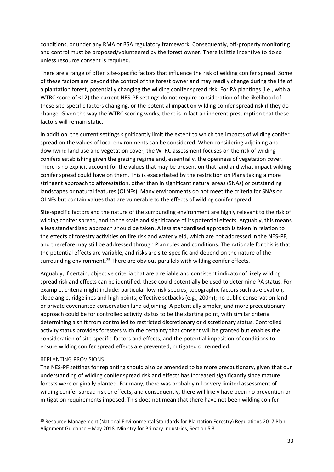conditions, or under any RMA or BSA regulatory framework. Consequently, off-property monitoring and control must be proposed/volunteered by the forest owner. There is little incentive to do so unless resource consent is required.

There are a range of often site-specific factors that influence the risk of wilding conifer spread. Some of these factors are beyond the control of the forest owner and may readily change during the life of a plantation forest, potentially changing the wilding conifer spread risk. For PA plantings (i.e., with a WTRC score of <12) the current NES-PF settings do not require consideration of the likelihood of these site-specific factors changing, or the potential impact on wilding conifer spread risk if they do change. Given the way the WTRC scoring works, there is in fact an inherent presumption that these factors will remain static.

In addition, the current settings significantly limit the extent to which the impacts of wilding conifer spread on the values of local environments can be considered. When considering adjoining and downwind land use and vegetation cover, the WTRC assessment focuses on the risk of wilding conifers establishing given the grazing regime and, essentially, the openness of vegetation cover. There is no explicit account for the values that may be present on that land and what impact wilding conifer spread could have on them. This is exacerbated by the restriction on Plans taking a more stringent approach to afforestation, other than in significant natural areas (SNAs) or outstanding landscapes or natural features (OLNFs). Many environments do not meet the criteria for SNAs or OLNFs but contain values that are vulnerable to the effects of wilding conifer spread.

Site-specific factors and the nature of the surrounding environment are highly relevant to the risk of wilding conifer spread, and to the scale and significance of its potential effects. Arguably, this means a less standardised approach should be taken. A less standardised approach is taken in relation to the effects of forestry activities on fire risk and water yield, which are not addressed in the NES-PF, and therefore may still be addressed through Plan rules and conditions. The rationale for this is that the potential effects are variable, and risks are site-specific and depend on the nature of the surrounding environment.<sup>25</sup> There are obvious parallels with wilding conifer effects.

Arguably, if certain, objective criteria that are a reliable and consistent indicator of likely wilding spread risk and effects can be identified, these could potentially be used to determine PA status. For example, criteria might include: particular low-risk species; topographic factors such as elevation, slope angle, ridgelines and high points; effective setbacks (e.g., 200m); no public conservation land or private covenanted conservation land adjoining. A potentially simpler, and more precautionary approach could be for controlled activity status to be the starting point, with similar criteria determining a shift from controlled to restricted discretionary or discretionary status. Controlled activity status provides foresters with the certainty that consent will be granted but enables the consideration of site-specific factors and effects, and the potential imposition of conditions to ensure wilding conifer spread effects are prevented, mitigated or remedied.

#### REPLANTING PROVISIONS

The NES-PF settings for replanting should also be amended to be more precautionary, given that our understanding of wilding conifer spread risk and effects has increased significantly since mature forests were originally planted. For many, there was probably nil or very limited assessment of wilding conifer spread risk or effects, and consequently, there will likely have been no prevention or mitigation requirements imposed. This does not mean that there have not been wilding conifer

<sup>&</sup>lt;sup>25</sup> Resource Management (National Environmental Standards for Plantation Forestry) Regulations 2017 Plan Alignment Guidance – May 2018, Ministry for Primary Industries, Section 5.3.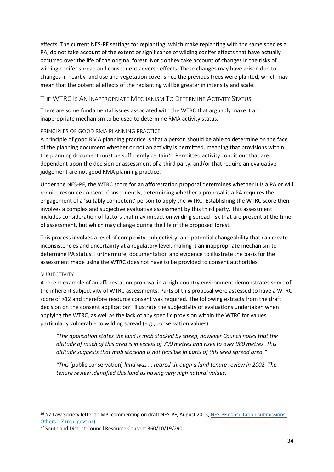effects. The current NES-PF settings for replanting, which make replanting with the same species a PA, do not take account of the extent or significance of wilding conifer effects that have actually occurred over the life of the original forest. Nor do they take account of changes in the risks of wilding conifer spread and consequent adverse effects. These changes may have arisen due to changes in nearby land use and vegetation cover since the previous trees were planted, which may mean that the potential effects of the replanting will be greater in intensity and scale.

#### <span id="page-33-0"></span>THE WTRC IS AN INAPPROPRIATE MECHANISM TO DETERMINE ACTIVITY STATUS

There are some fundamental issues associated with the WTRC that arguably make it an inappropriate mechanism to be used to determine RMA activity status.

#### PRINCIPLES OF GOOD RMA PLANNING PRACTICE

A principle of good RMA planning practice is that a person should be able to determine on the face of the planning document whether or not an activity is permitted, meaning that provisions within the planning document must be sufficiently certain<sup>26</sup>. Permitted activity conditions that are dependent upon the decision or assessment of a third party, and/or that require an evaluative judgement are not good RMA planning practice.

Under the NES-PF, the WTRC score for an afforestation proposal determines whether it is a PA or will require resource consent. Consequently, determining whether a proposal is a PA requires the engagement of a 'suitably competent' person to apply the WTRC. Establishing the WTRC score then involves a complex and subjective evaluative assessment by this third party. This assessment includes consideration of factors that may impact on wilding spread risk that are present at the time of assessment, but which may change during the life of the proposed forest.

This process involves a level of complexity, subjectivity, and potential changeability that can create inconsistencies and uncertainty at a regulatory level, making it an inappropriate mechanism to determine PA status. Furthermore, documentation and evidence to illustrate the basis for the assessment made using the WTRC does not have to be provided to consent authorities.

#### SUBJECTIVITY

A recent example of an afforestation proposal in a high-country environment demonstrates some of the inherent subjectivity of WTRC assessments. Parts of this proposal were assessed to have a WTRC score of >12 and therefore resource consent was required. The following extracts from the draft decision on the consent application*<sup>27</sup>* illustrate the subjectivity of evaluations undertaken when applying the WTRC, as well as the lack of any specific provision within the WTRC for values particularly vulnerable to wilding spread (e.g., conservation values).

*"The application states the land is mob stocked by sheep, however Council notes that the altitude of much of this area is in excess of 700 metres and rises to over 980 metres. This altitude suggests that mob stocking is not feasible in parts of this seed spread area."*

*"This* [public conservation] *land was … retired through a land tenure review in 2002. The tenure review identified this land as having very high natural values.*

<sup>&</sup>lt;sup>26</sup> NZ Law Society letter to MPI commenting on draft NES-PF, August 2015, NES-PF consultation submissions: [Others L-Z \(mpi.govt.nz\)](https://www.mpi.govt.nz/dmsdocument/10952-NES-PF-consultation-submissions-Others-L-Z)

<sup>27</sup> Southland District Council Resource Consent 360/10/19/290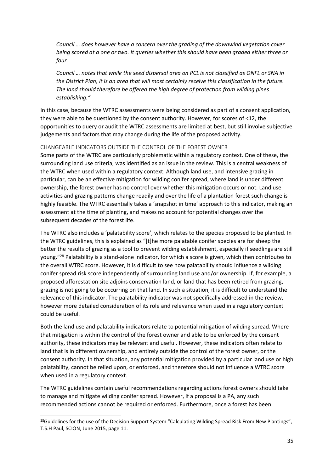*Council … does however have a concern over the grading of the downwind vegetation cover being scored at a one or two. It queries whether this should have been graded either three or four.* 

*Council … notes that while the seed dispersal area on PCL is not classified as ONFL or SNA in the District Plan, it is an area that will most certainly receive this classification in the future. The land should therefore be offered the high degree of protection from wilding pines establishing."*

In this case, because the WTRC assessments were being considered as part of a consent application, they were able to be questioned by the consent authority. However, for scores of <12, the opportunities to query or audit the WTRC assessments are limited at best, but still involve subjective judgements and factors that may change during the life of the proposed activity.

#### CHANGEABLE INDICATORS OUTSIDE THE CONTROL OF THE FOREST OWNER

Some parts of the WTRC are particularly problematic within a regulatory context. One of these, the surrounding land use criteria, was identified as an issue in the review. This is a central weakness of the WTRC when used within a regulatory context. Although land use, and intensive grazing in particular, can be an effective mitigation for wilding conifer spread, where land is under different ownership, the forest owner has no control over whether this mitigation occurs or not. Land use activities and grazing patterns change readily and over the life of a plantation forest such change is highly feasible. The WTRC essentially takes a 'snapshot in time' approach to this indicator, making an assessment at the time of planting, and makes no account for potential changes over the subsequent decades of the forest life.

The WTRC also includes a 'palatability score', which relates to the species proposed to be planted. In the WTRC guidelines, this is explained as "[t]he more palatable conifer species are for sheep the better the results of grazing as a tool to prevent wilding establishment, especially if seedlings are still young."<sup>28</sup> Palatability is a stand-alone indicator, for which a score is given, which then contributes to the overall WTRC score. However, it is difficult to see how palatability should influence a wilding conifer spread risk score independently of surrounding land use and/or ownership. If, for example, a proposed afforestation site adjoins conservation land, or land that has been retired from grazing, grazing is not going to be occurring on that land. In such a situation, it is difficult to understand the relevance of this indicator. The palatability indicator was not specifically addressed in the review, however more detailed consideration of its role and relevance when used in a regulatory context could be useful.

Both the land use and palatability indicators relate to potential mitigation of wilding spread. Where that mitigation is within the control of the forest owner and able to be enforced by the consent authority, these indicators may be relevant and useful. However, these indicators often relate to land that is in different ownership, and entirely outside the control of the forest owner, or the consent authority. In that situation, any potential mitigation provided by a particular land use or high palatability, cannot be relied upon, or enforced, and therefore should not influence a WTRC score when used in a regulatory context.

The WTRC guidelines contain useful recommendations regarding actions forest owners should take to manage and mitigate wilding conifer spread. However, if a proposal is a PA, any such recommended actions cannot be required or enforced. Furthermore, once a forest has been

<sup>&</sup>lt;sup>28</sup>Guidelines for the use of the Decision Support System "Calculating Wilding Spread Risk From New Plantings", T.S.H Paul, SCION, June 2015, page 11.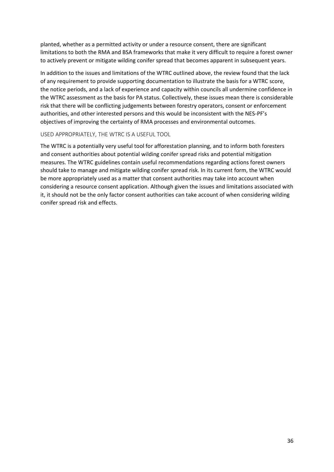planted, whether as a permitted activity or under a resource consent, there are significant limitations to both the RMA and BSA frameworks that make it very difficult to require a forest owner to actively prevent or mitigate wilding conifer spread that becomes apparent in subsequent years.

In addition to the issues and limitations of the WTRC outlined above, the review found that the lack of any requirement to provide supporting documentation to illustrate the basis for a WTRC score, the notice periods, and a lack of experience and capacity within councils all undermine confidence in the WTRC assessment as the basis for PA status. Collectively, these issues mean there is considerable risk that there will be conflicting judgements between forestry operators, consent or enforcement authorities, and other interested persons and this would be inconsistent with the NES-PF's objectives of improving the certainty of RMA processes and environmental outcomes.

#### USED APPROPRIATELY, THE WTRC IS A USEFUL TOOL

The WTRC is a potentially very useful tool for afforestation planning, and to inform both foresters and consent authorities about potential wilding conifer spread risks and potential mitigation measures. The WTRC guidelines contain useful recommendations regarding actions forest owners should take to manage and mitigate wilding conifer spread risk. In its current form, the WTRC would be more appropriately used as a matter that consent authorities may take into account when considering a resource consent application. Although given the issues and limitations associated with it, it should not be the only factor consent authorities can take account of when considering wilding conifer spread risk and effects.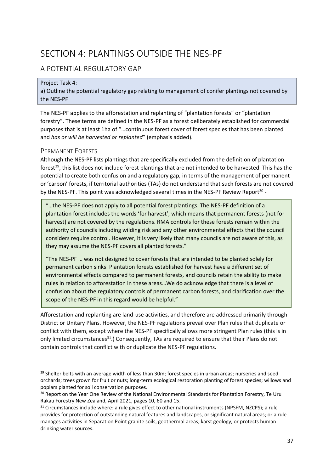## <span id="page-36-0"></span>SECTION 4: PLANTINGS OUTSIDE THE NES-PF

## <span id="page-36-1"></span>A POTENTIAL REGULATORY GAP

#### Project Task 4:

a) Outline the potential regulatory gap relating to management of conifer plantings not covered by the NES-PF

The NES-PF applies to the afforestation and replanting of "plantation forests" or "plantation forestry". These terms are defined in the NES-PF as a forest deliberately established for commercial purposes that is at least 1ha of "…continuous forest cover of forest species that has been planted and *has or will be harvested or replanted*" (emphasis added).

#### <span id="page-36-2"></span>PERMANENT FORESTS

Although the NES-PF lists plantings that are specifically excluded from the definition of plantation forest<sup>29</sup>, this list does not include forest plantings that are not intended to be harvested. This has the potential to create both confusion and a regulatory gap, in terms of the management of permanent or 'carbon' forests, if territorial authorities (TAs) do not understand that such forests are not covered by the NES-PF. This point was acknowledged several times in the NES-PF Review Report<sup>30</sup> -

"…the NES-PF does not apply to all potential forest plantings. The NES-PF definition of a plantation forest includes the words 'for harvest', which means that permanent forests (not for harvest) are not covered by the regulations. RMA controls for these forests remain within the authority of councils including wilding risk and any other environmental effects that the council considers require control. However, it is very likely that many councils are not aware of this, as they may assume the NES-PF covers all planted forests."

"The NES-PF … was not designed to cover forests that are intended to be planted solely for permanent carbon sinks. Plantation forests established for harvest have a different set of environmental effects compared to permanent forests, and councils retain the ability to make rules in relation to afforestation in these areas…We do acknowledge that there is a level of confusion about the regulatory controls of permanent carbon forests, and clarification over the scope of the NES-PF in this regard would be helpful."

Afforestation and replanting are land-use activities, and therefore are addressed primarily through District or Unitary Plans. However, the NES-PF regulations prevail over Plan rules that duplicate or conflict with them, except where the NES-PF specifically allows more stringent Plan rules (this is in only limited circumstances<sup>31</sup>.) Consequently, TAs are required to ensure that their Plans do not contain controls that conflict with or duplicate the NES-PF regulations.

<sup>&</sup>lt;sup>29</sup> Shelter belts with an average width of less than 30m; forest species in urban areas; nurseries and seed orchards; trees grown for fruit or nuts; long-term ecological restoration planting of forest species; willows and poplars planted for soil conservation purposes.

<sup>&</sup>lt;sup>30</sup> Report on the Year One Review of the National Environmental Standards for Plantation Forestry, Te Uru Rākau Forestry New Zealand, April 2021, pages 10, 60 and 15.

<sup>&</sup>lt;sup>31</sup> Circumstances include where: a rule gives effect to other national instruments (NPSFM, NZCPS); a rule provides for protection of outstanding natural features and landscapes, or significant natural areas; or a rule manages activities in Separation Point granite soils, geothermal areas, karst geology, or protects human drinking water sources.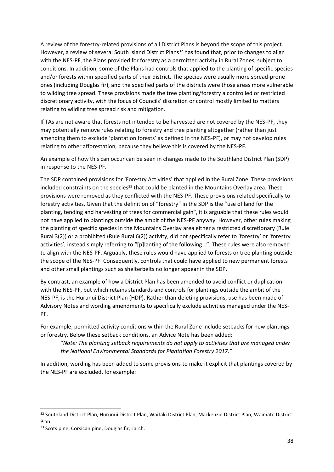A review of the forestry-related provisions of all District Plans is beyond the scope of this project. However, a review of several South Island District Plans<sup>32</sup> has found that, prior to changes to align with the NES-PF, the Plans provided for forestry as a permitted activity in Rural Zones, subject to conditions. In addition, some of the Plans had controls that applied to the planting of specific species and/or forests within specified parts of their district. The species were usually more spread-prone ones (including Douglas fir), and the specified parts of the districts were those areas more vulnerable to wilding tree spread. These provisions made the tree planting/forestry a controlled or restricted discretionary activity, with the focus of Councils' discretion or control mostly limited to matters relating to wilding tree spread risk and mitigation.

If TAs are not aware that forests not intended to be harvested are not covered by the NES-PF, they may potentially remove rules relating to forestry and tree planting altogether (rather than just amending them to exclude 'plantation forests' as defined in the NES-PF), or may not develop rules relating to other afforestation, because they believe this is covered by the NES-PF.

An example of how this can occur can be seen in changes made to the Southland District Plan (SDP) in response to the NES-PF.

The SDP contained provisions for 'Forestry Activities' that applied in the Rural Zone. These provisions included constraints on the species<sup>33</sup> that could be planted in the Mountains Overlay area. These provisions were removed as they conflicted with the NES-PF. These provisions related specifically to forestry activities. Given that the definition of "forestry" in the SDP is the "use of land for the planting, tending and harvesting of trees for commercial gain", it is arguable that these rules would not have applied to plantings outside the ambit of the NES-PF anyway. However, other rules making the planting of specific species in the Mountains Overlay area either a restricted discretionary (Rule Rural 3(2)) or a prohibited (Rule Rural 6(2)) activity, did not specifically refer to 'forestry' or 'forestry activities', instead simply referring to "[p]lanting of the following…". These rules were also removed to align with the NES-PF. Arguably, these rules would have applied to forests or tree planting outside the scope of the NES-PF. Consequently, controls that could have applied to new permanent forests and other small plantings such as shelterbelts no longer appear in the SDP.

By contrast, an example of how a District Plan has been amended to avoid conflict or duplication with the NES-PF, but which retains standards and controls for plantings outside the ambit of the NES-PF, is the Hurunui District Plan (HDP). Rather than deleting provisions, use has been made of Advisory Notes and wording amendments to specifically exclude activities managed under the NES-PF.

For example, permitted activity conditions within the Rural Zone include setbacks for new plantings or forestry. Below these setback conditions, an Advice Note has been added:

"*Note: The planting setback requirements do not apply to activities that are managed under the National Environmental Standards for Plantation Forestry 2017."*

In addition, wording has been added to some provisions to make it explicit that plantings covered by the NES-PF are excluded, for example:

<sup>32</sup> Southland District Plan, Hurunui District Plan, Waitaki District Plan, Mackenzie District Plan, Waimate District Plan.

<sup>33</sup> Scots pine, Corsican pine, Douglas fir, Larch.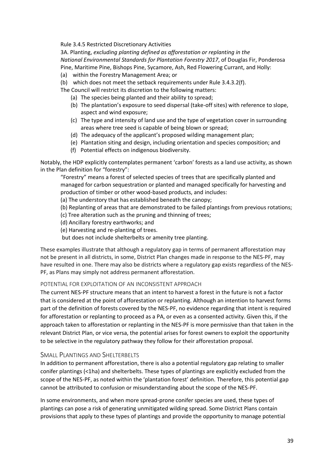Rule 3.4.5 Restricted Discretionary Activities

3A. Planting, *excluding planting defined as afforestation or replanting in the National Environmental Standards for Plantation Forestry 2017*, of Douglas Fir, Ponderosa Pine, Maritime Pine, Bishops Pine, Sycamore, Ash, Red Flowering Currant, and Holly:

- (a) within the Forestry Management Area; or
- (b) which does not meet the setback requirements under Rule 3.4.3.2(f).
- The Council will restrict its discretion to the following matters:
	- (a) The species being planted and their ability to spread;
	- (b) The plantation's exposure to seed dispersal (take-off sites) with reference to slope, aspect and wind exposure;
	- (c) The type and intensity of land use and the type of vegetation cover in surrounding areas where tree seed is capable of being blown or spread;
	- (d) The adequacy of the applicant's proposed wilding management plan;
	- (e) Plantation siting and design, including orientation and species composition; and
	- (f) Potential effects on indigenous biodiversity.

Notably, the HDP explicitly contemplates permanent 'carbon' forests as a land use activity, as shown in the Plan definition for "forestry":

"Forestry" means a forest of selected species of trees that are specifically planted and managed for carbon sequestration or planted and managed specifically for harvesting and production of timber or other wood-based products, and includes:

(a) The understory that has established beneath the canopy;

(b) Replanting of areas that are demonstrated to be failed plantings from previous rotations;

- (c) Tree alteration such as the pruning and thinning of trees;
- (d) Ancillary forestry earthworks; and
- (e) Harvesting and re-planting of trees.

but does not include shelterbelts or amenity tree planting.

These examples illustrate that although a regulatory gap in terms of permanent afforestation may not be present in all districts, in some, District Plan changes made in response to the NES-PF, may have resulted in one. There may also be districts where a regulatory gap exists regardless of the NES-PF, as Plans may simply not address permanent afforestation.

#### POTENTIAL FOR EXPLOITATION OF AN INCONSISTENT APPROACH

The current NES-PF structure means that an intent to harvest a forest in the future is not a factor that is considered at the point of afforestation or replanting. Although an intention to harvest forms part of the definition of forests covered by the NES-PF, no evidence regarding that intent is required for afforestation or replanting to proceed as a PA, or even as a consented activity. Given this, if the approach taken to afforestation or replanting in the NES-PF is more permissive than that taken in the relevant District Plan, or vice versa, the potential arises for forest owners to exploit the opportunity to be selective in the regulatory pathway they follow for their afforestation proposal.

#### <span id="page-38-0"></span>SMALL PLANTINGS AND SHELTERBELTS

In addition to permanent afforestation, there is also a potential regulatory gap relating to smaller conifer plantings (<1ha) and shelterbelts. These types of plantings are explicitly excluded from the scope of the NES-PF, as noted within the 'plantation forest' definition. Therefore, this potential gap cannot be attributed to confusion or misunderstanding about the scope of the NES-PF.

In some environments, and when more spread-prone conifer species are used, these types of plantings can pose a risk of generating unmitigated wilding spread. Some District Plans contain provisions that apply to these types of plantings and provide the opportunity to manage potential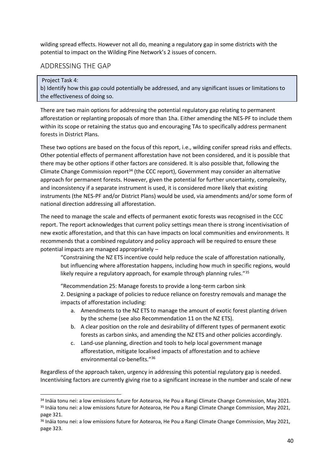wilding spread effects. However not all do, meaning a regulatory gap in some districts with the potential to impact on the Wilding Pine Network's 2 issues of concern.

### <span id="page-39-0"></span>ADDRESSING THE GAP

#### Project Task 4:

b) Identify how this gap could potentially be addressed, and any significant issues or limitations to the effectiveness of doing so.

There are two main options for addressing the potential regulatory gap relating to permanent afforestation or replanting proposals of more than 1ha. Either amending the NES-PF to include them within its scope or retaining the status quo and encouraging TAs to specifically address permanent forests in District Plans.

These two options are based on the focus of this report, i.e., wilding conifer spread risks and effects. Other potential effects of permanent afforestation have not been considered, and it is possible that there may be other options if other factors are considered. It is also possible that, following the Climate Change Commission report<sup>34</sup> (the CCC report), Government may consider an alternative approach for permanent forests. However, given the potential for further uncertainty, complexity, and inconsistency if a separate instrument is used, it is considered more likely that existing instruments (the NES-PF and/or District Plans) would be used, via amendments and/or some form of national direction addressing all afforestation.

The need to manage the scale and effects of permanent exotic forests was recognised in the CCC report. The report acknowledges that current policy settings mean there is strong incentivisation of new exotic afforestation, and that this can have impacts on local communities and environments. It recommends that a combined regulatory and policy approach will be required to ensure these potential impacts are managed appropriately –

"Constraining the NZ ETS incentive could help reduce the scale of afforestation nationally, but influencing where afforestation happens, including how much in specific regions, would likely require a regulatory approach, for example through planning rules."<sup>35</sup>

"Recommendation 25: Manage forests to provide a long-term carbon sink 2. Designing a package of policies to reduce reliance on forestry removals and manage the impacts of afforestation including:

- a. Amendments to the NZ ETS to manage the amount of exotic forest planting driven by the scheme (see also Recommendation 11 on the NZ ETS).
- b. A clear position on the role and desirability of different types of permanent exotic forests as carbon sinks, and amending the NZ ETS and other policies accordingly.
- c. Land-use planning, direction and tools to help local government manage afforestation, mitigate localised impacts of afforestation and to achieve environmental co-benefits."<sup>36</sup>

Regardless of the approach taken, urgency in addressing this potential regulatory gap is needed. Incentivising factors are currently giving rise to a significant increase in the number and scale of new

<sup>&</sup>lt;sup>34</sup> Ināia tonu nei: a low emissions future for Aotearoa, He Pou a Rangi Climate Change Commission, May 2021. <sup>35</sup> Ināia tonu nei: a low emissions future for Aotearoa, He Pou a Rangi Climate Change Commission, May 2021, page 321.

<sup>&</sup>lt;sup>36</sup> Ināia tonu nei: a low emissions future for Aotearoa, He Pou a Rangi Climate Change Commission, May 2021, page 323.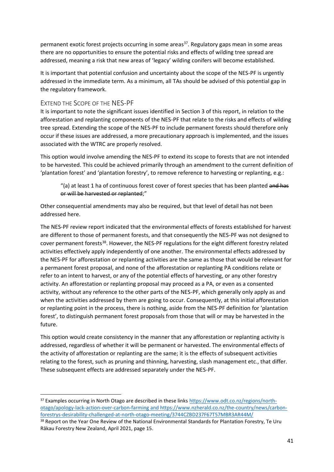permanent exotic forest projects occurring in some areas<sup>37</sup>. Regulatory gaps mean in some areas there are no opportunities to ensure the potential risks and effects of wilding tree spread are addressed, meaning a risk that new areas of 'legacy' wilding conifers will become established.

It is important that potential confusion and uncertainty about the scope of the NES-PF is urgently addressed in the immediate term. As a minimum, all TAs should be advised of this potential gap in the regulatory framework.

#### <span id="page-40-0"></span>EXTEND THE SCOPE OF THE NES-PF

It is important to note the significant issues identified in Section 3 of this report, in relation to the afforestation and replanting components of the NES-PF that relate to the risks and effects of wilding tree spread. Extending the scope of the NES-PF to include permanent forests should therefore only occur if these issues are addressed, a more precautionary approach is implemented, and the issues associated with the WTRC are properly resolved.

This option would involve amending the NES-PF to extend its scope to forests that are not intended to be harvested. This could be achieved primarily through an amendment to the current definition of 'plantation forest' and 'plantation forestry', to remove reference to harvesting or replanting, e.g.:

"(a) at least 1 ha of continuous forest cover of forest species that has been planted and has or will be harvested or replanted;"

Other consequential amendments may also be required, but that level of detail has not been addressed here.

The NES-PF review report indicated that the environmental effects of forests established for harvest are different to those of permanent forests, and that consequently the NES-PF was not designed to cover permanent forests<sup>38</sup>. However, the NES-PF regulations for the eight different forestry related activities effectively apply independently of one another. The environmental effects addressed by the NES-PF for afforestation or replanting activities are the same as those that would be relevant for a permanent forest proposal, and none of the afforestation or replanting PA conditions relate or refer to an intent to harvest, or any of the potential effects of harvesting, or any other forestry activity. An afforestation or replanting proposal may proceed as a PA, or even as a consented activity, without any reference to the other parts of the NES-PF, which generally only apply as and when the activities addressed by them are going to occur. Consequently, at this initial afforestation or replanting point in the process, there is nothing, aside from the NES-PF definition for 'plantation forest', to distinguish permanent forest proposals from those that will or may be harvested in the future.

This option would create consistency in the manner that any afforestation or replanting activity is addressed, regardless of whether it will be permanent or harvested. The environmental effects of the activity of afforestation or replanting are the same; it is the effects of subsequent activities relating to the forest, such as pruning and thinning, harvesting, slash management etc., that differ. These subsequent effects are addressed separately under the NES-PF.

<sup>37</sup> Examples occurring in North Otago are described in these link[s https://www.odt.co.nz/regions/north](https://www.odt.co.nz/regions/north-otago/apology-lack-action-over-carbon-farming)[otago/apology-lack-action-over-carbon-farming](https://www.odt.co.nz/regions/north-otago/apology-lack-action-over-carbon-farming) and [https://www.nzherald.co.nz/the-country/news/carbon](https://www.nzherald.co.nz/the-country/news/carbon-forestrys-desirability-challenged-at-north-otago-meeting/3744CZBD237F67T57MBR3AR44M/)[forestrys-desirability-challenged-at-north-otago-meeting/3744CZBD237F67T57MBR3AR44M/](https://www.nzherald.co.nz/the-country/news/carbon-forestrys-desirability-challenged-at-north-otago-meeting/3744CZBD237F67T57MBR3AR44M/)

<sup>&</sup>lt;sup>38</sup> Report on the Year One Review of the National Environmental Standards for Plantation Forestry. Te Uru Rākau Forestry New Zealand, April 2021, page 15.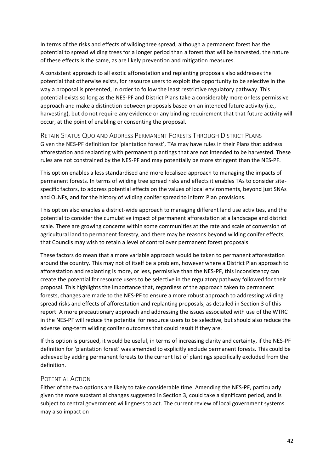In terms of the risks and effects of wilding tree spread, although a permanent forest has the potential to spread wilding trees for a longer period than a forest that will be harvested, the nature of these effects is the same, as are likely prevention and mitigation measures.

A consistent approach to all exotic afforestation and replanting proposals also addresses the potential that otherwise exists, for resource users to exploit the opportunity to be selective in the way a proposal is presented, in order to follow the least restrictive regulatory pathway. This potential exists so long as the NES-PF and District Plans take a considerably more or less permissive approach and make a distinction between proposals based on an intended future activity (i.e., harvesting), but do not require any evidence or any binding requirement that that future activity will occur, at the point of enabling or consenting the proposal.

<span id="page-41-0"></span>RETAIN STATUS QUO AND ADDRESS PERMANENT FORESTS THROUGH DISTRICT PLANS Given the NES-PF definition for 'plantation forest', TAs may have rules in their Plans that address afforestation and replanting with permanent plantings that are not intended to be harvested. These rules are not constrained by the NES-PF and may potentially be more stringent than the NES-PF.

This option enables a less standardised and more localised approach to managing the impacts of permanent forests. In terms of wilding tree spread risks and effects it enables TAs to consider sitespecific factors, to address potential effects on the values of local environments, beyond just SNAs and OLNFs, and for the history of wilding conifer spread to inform Plan provisions.

This option also enables a district-wide approach to managing different land use activities, and the potential to consider the cumulative impact of permanent afforestation at a landscape and district scale. There are growing concerns within some communities at the rate and scale of conversion of agricultural land to permanent forestry, and there may be reasons beyond wilding conifer effects, that Councils may wish to retain a level of control over permanent forest proposals.

These factors do mean that a more variable approach would be taken to permanent afforestation around the country. This may not of itself be a problem, however where a District Plan approach to afforestation and replanting is more, or less, permissive than the NES-PF, this inconsistency can create the potential for resource users to be selective in the regulatory pathway followed for their proposal. This highlights the importance that, regardless of the approach taken to permanent forests, changes are made to the NES-PF to ensure a more robust approach to addressing wilding spread risks and effects of afforestation and replanting proposals, as detailed in Section 3 of this report. A more precautionary approach and addressing the issues associated with use of the WTRC in the NES-PF will reduce the potential for resource users to be selective, but should also reduce the adverse long-term wilding conifer outcomes that could result if they are.

If this option is pursued, it would be useful, in terms of increasing clarity and certainty, if the NES-PF definition for 'plantation forest' was amended to explicitly exclude permanent forests. This could be achieved by adding permanent forests to the current list of plantings specifically excluded from the definition.

#### <span id="page-41-1"></span>POTENTIAL ACTION

Either of the two options are likely to take considerable time. Amending the NES-PF, particularly given the more substantial changes suggested in Section 3, could take a significant period, and is subject to central government willingness to act. The current review of local government systems may also impact on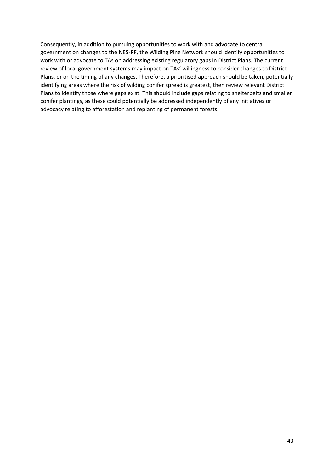Consequently, in addition to pursuing opportunities to work with and advocate to central government on changes to the NES-PF, the Wilding Pine Network should identify opportunities to work with or advocate to TAs on addressing existing regulatory gaps in District Plans. The current review of local government systems may impact on TAs' willingness to consider changes to District Plans, or on the timing of any changes. Therefore, a prioritised approach should be taken, potentially identifying areas where the risk of wilding conifer spread is greatest, then review relevant District Plans to identify those where gaps exist. This should include gaps relating to shelterbelts and smaller conifer plantings, as these could potentially be addressed independently of any initiatives or advocacy relating to afforestation and replanting of permanent forests.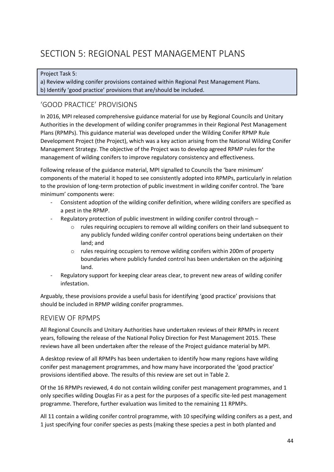## <span id="page-43-0"></span>SECTION 5: REGIONAL PEST MANAGEMENT PLANS

#### Project Task 5:

a) Review wilding conifer provisions contained within Regional Pest Management Plans. b) Identify 'good practice' provisions that are/should be included.

## <span id="page-43-1"></span>'GOOD PRACTICE' PROVISIONS

In 2016, MPI released comprehensive guidance material for use by Regional Councils and Unitary Authorities in the development of wilding conifer programmes in their Regional Pest Management Plans (RPMPs). This guidance material was developed under the Wilding Conifer RPMP Rule Development Project (the Project), which was a key action arising from the National Wilding Conifer Management Strategy. The objective of the Project was to develop agreed RPMP rules for the management of wilding conifers to improve regulatory consistency and effectiveness.

Following release of the guidance material, MPI signalled to Councils the 'bare minimum' components of the material it hoped to see consistently adopted into RPMPs, particularly in relation to the provision of long-term protection of public investment in wilding conifer control. The 'bare minimum' components were:

- Consistent adoption of the wilding conifer definition, where wilding conifers are specified as a pest in the RPMP.
- Regulatory protection of public investment in wilding conifer control through
	- $\circ$  rules requiring occupiers to remove all wilding conifers on their land subsequent to any publicly funded wilding conifer control operations being undertaken on their land; and
	- o rules requiring occupiers to remove wilding conifers within 200m of property boundaries where publicly funded control has been undertaken on the adjoining land.
- Regulatory support for keeping clear areas clear, to prevent new areas of wilding conifer infestation.

Arguably, these provisions provide a useful basis for identifying 'good practice' provisions that should be included in RPMP wilding conifer programmes.

#### <span id="page-43-2"></span>REVIEW OF RPMPS

All Regional Councils and Unitary Authorities have undertaken reviews of their RPMPs in recent years, following the release of the National Policy Direction for Pest Management 2015. These reviews have all been undertaken after the release of the Project guidance material by MPI.

A desktop review of all RPMPs has been undertaken to identify how many regions have wilding conifer pest management programmes, and how many have incorporated the 'good practice' provisions identified above. The results of this review are set out in [Table 2.](#page-46-0)

Of the 16 RPMPs reviewed, 4 do not contain wilding conifer pest management programmes, and 1 only specifies wilding Douglas Fir as a pest for the purposes of a specific site-led pest management programme. Therefore, further evaluation was limited to the remaining 11 RPMPs.

All 11 contain a wilding conifer control programme, with 10 specifying wilding conifers as a pest, and 1 just specifying four conifer species as pests (making these species a pest in both planted and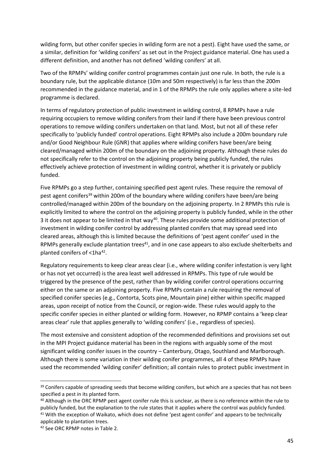wilding form, but other conifer species in wilding form are not a pest). Eight have used the same, or a similar, definition for 'wilding conifers' as set out in the Project guidance material. One has used a different definition, and another has not defined 'wilding conifers' at all.

Two of the RPMPs' wilding conifer control programmes contain just one rule. In both, the rule is a boundary rule, but the applicable distance (10m and 50m respectively) is far less than the 200m recommended in the guidance material, and in 1 of the RPMPs the rule only applies where a site-led programme is declared.

In terms of regulatory protection of public investment in wilding control, 8 RPMPs have a rule requiring occupiers to remove wilding conifers from their land if there have been previous control operations to remove wilding conifers undertaken on that land. Most, but not all of these refer specifically to 'publicly funded' control operations. Eight RPMPs also include a 200m boundary rule and/or Good Neighbour Rule (GNR) that applies where wilding conifers have been/are being cleared/managed within 200m of the boundary on the adjoining property. Although these rules do not specifically refer to the control on the adjoining property being publicly funded, the rules effectively achieve protection of investment in wilding control, whether it is privately or publicly funded.

Five RPMPs go a step further, containing specified pest agent rules. These require the removal of pest agent conifers<sup>39</sup> within 200m of the boundary where wilding conifers have been/are being controlled/managed within 200m of the boundary on the adjoining property. In 2 RPMPs this rule is explicitly limited to where the control on the adjoining property is publicly funded, while in the other 3 it does not appear to be limited in that way<sup>40</sup>. These rules provide some additional protection of investment in wilding conifer control by addressing planted conifers that may spread seed into cleared areas, although this is limited because the definitions of 'pest agent conifer' used in the RPMPs generally exclude plantation trees<sup>41</sup>, and in one case appears to also exclude shelterbelts and planted conifers of <1ha<sup>42</sup>.

Regulatory requirements to keep clear areas clear (i.e., where wilding conifer infestation is very light or has not yet occurred) is the area least well addressed in RPMPs. This type of rule would be triggered by the presence of the pest, rather than by wilding conifer control operations occurring either on the same or an adjoining property. Five RPMPs contain a rule requiring the removal of specified conifer species (e.g., Contorta, Scots pine, Mountain pine) either within specific mapped areas, upon receipt of notice from the Council, or region-wide. These rules would apply to the specific conifer species in either planted or wilding form. However, no RPMP contains a 'keep clear areas clear' rule that applies generally to 'wilding conifers' (i.e., regardless of species).

The most extensive and consistent adoption of the recommended definitions and provisions set out in the MPI Project guidance material has been in the regions with arguably some of the most significant wilding conifer issues in the country – Canterbury, Otago, Southland and Marlborough. Although there is some variation in their wilding conifer programmes, all 4 of these RPMPs have used the recommended 'wilding conifer' definition; all contain rules to protect public investment in

<sup>&</sup>lt;sup>39</sup> Conifers capable of spreading seeds that become wilding conifers, but which are a species that has not been specified a pest in its planted form.

<sup>40</sup> Although in the ORC RPMP pest agent conifer rule this is unclear, as there is no reference within the rule to publicly funded, but the explanation to the rule states that it applies where the control was publicly funded. <sup>41</sup> With the exception of Waikato, which does not define 'pest agent conifer' and appears to be technically applicable to plantation trees.

<sup>42</sup> See ORC RPMP notes in Table 2.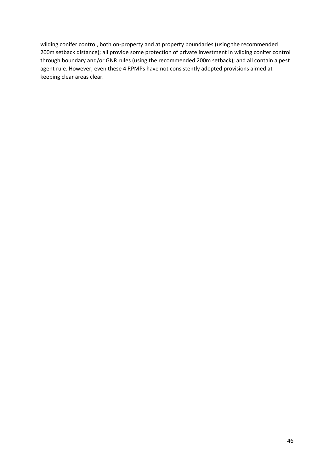wilding conifer control, both on-property and at property boundaries (using the recommended 200m setback distance); all provide some protection of private investment in wilding conifer control through boundary and/or GNR rules (using the recommended 200m setback); and all contain a pest agent rule. However, even these 4 RPMPs have not consistently adopted provisions aimed at keeping clear areas clear.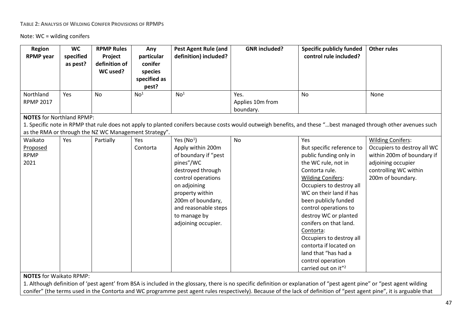#### **TABLE 2: ANALYSIS OF WILDING CONIFER PROVISIONS OF RPMPS**

Note: WC = wilding conifers

| Region<br><b>RPMP</b> year                 | <b>WC</b><br>specified<br>as pest? | <b>RPMP Rules</b><br>Project<br>definition of<br>WC used? | Any<br>particular<br>conifer<br>species<br>specified as<br>pest? | <b>Pest Agent Rule (and</b><br>definition) included?                                                                                                                                                                                    | <b>GNR</b> included?                  | <b>Specific publicly funded</b><br>control rule included?                                                                                                                                                                                                                                                                                                                                                                                     | <b>Other rules</b>                                                                                                                                              |
|--------------------------------------------|------------------------------------|-----------------------------------------------------------|------------------------------------------------------------------|-----------------------------------------------------------------------------------------------------------------------------------------------------------------------------------------------------------------------------------------|---------------------------------------|-----------------------------------------------------------------------------------------------------------------------------------------------------------------------------------------------------------------------------------------------------------------------------------------------------------------------------------------------------------------------------------------------------------------------------------------------|-----------------------------------------------------------------------------------------------------------------------------------------------------------------|
| Northland<br><b>RPMP 2017</b>              | Yes                                | No                                                        | No <sup>1</sup>                                                  | No <sup>1</sup>                                                                                                                                                                                                                         | Yes.<br>Applies 10m from<br>boundary. | <b>No</b>                                                                                                                                                                                                                                                                                                                                                                                                                                     | None                                                                                                                                                            |
| <b>NOTES for Northland RPMP:</b>           |                                    | as the RMA or through the NZ WC Management Strategy".     |                                                                  |                                                                                                                                                                                                                                         |                                       |                                                                                                                                                                                                                                                                                                                                                                                                                                               | 1. Specific note in RPMP that rule does not apply to planted conifers because costs would outweigh benefits, and these "best managed through other avenues such |
| Waikato<br>Proposed<br><b>RPMP</b><br>2021 | Yes                                | Partially                                                 | Yes<br>Contorta                                                  | Yes $(No1)$<br>Apply within 200m<br>of boundary if "pest<br>pines"/WC<br>destroyed through<br>control operations<br>on adjoining<br>property within<br>200m of boundary,<br>and reasonable steps<br>to manage by<br>adjoining occupier. | <b>No</b>                             | Yes<br>But specific reference to<br>public funding only in<br>the WC rule, not in<br>Contorta rule.<br><b>Wilding Conifers:</b><br>Occupiers to destroy all<br>WC on their land if has<br>been publicly funded<br>control operations to<br>destroy WC or planted<br>conifers on that land.<br>Contorta:<br>Occupiers to destroy all<br>contorta if located on<br>land that "has had a<br>control operation<br>carried out on it" <sup>2</sup> | <b>Wilding Conifers:</b><br>Occupiers to destroy all WC<br>within 200m of boundary if<br>adjoining occupier<br>controlling WC within<br>200m of boundary.       |

<span id="page-46-0"></span>**NOTES** for Waikato RPMP:

1. Although definition of 'pest agent' from BSA is included in the glossary, there is no specific definition or explanation of "pest agent pine" or "pest agent wilding conifer" (the terms used in the Contorta and WC programme pest agent rules respectively). Because of the lack of definition of "pest agent pine", it is arguable that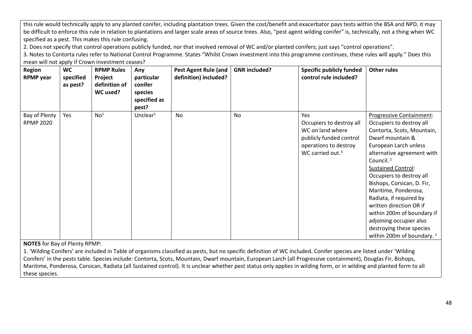this rule would technically apply to any planted conifer, including plantation trees. Given the cost/benefit and exacerbator pays tests within the BSA and NPD, it may be difficult to enforce this rule in relation to plantations and larger scale areas of source trees. Also, "pest agent wilding conifer" is, technically, not a thing when WC specified as a pest. This makes this rule confusing.

2. Does not specify that control operations publicly funded, nor that involved removal of WC and/or planted conifers; just says "control operations".

3. Notes to Contorta rules refer to National Control Programme. States "Whilst Crown investment into this programme continues, these rules will apply." Does this mean will not apply if Crown investment ceases?

| <b>Region</b><br><b>RPMP</b> year | <b>WC</b><br>specified<br>as pest? | <b>RPMP Rules</b><br>Project<br>definition of<br>WC used? | Any<br>particular<br>conifer<br>species<br>specified as<br>pest? | Pest Agent Rule (and<br>definition) included? | <b>GNR</b> included? | <b>Specific publicly funded</b><br>control rule included?                                                                                      | <b>Other rules</b>                                                                                                                                                                                                                                                                                                                                                                                                                                                                               |
|-----------------------------------|------------------------------------|-----------------------------------------------------------|------------------------------------------------------------------|-----------------------------------------------|----------------------|------------------------------------------------------------------------------------------------------------------------------------------------|--------------------------------------------------------------------------------------------------------------------------------------------------------------------------------------------------------------------------------------------------------------------------------------------------------------------------------------------------------------------------------------------------------------------------------------------------------------------------------------------------|
| Bay of Plenty<br><b>RPMP 2020</b> | Yes                                | No <sup>1</sup>                                           | Unclear $1$                                                      | No                                            | <b>No</b>            | <b>Yes</b><br>Occupiers to destroy all<br>WC on land where<br>publicly funded control<br>operations to destroy<br>WC carried out. <sup>3</sup> | <b>Progressive Containment:</b><br>Occupiers to destroy all<br>Contorta, Scots, Mountain,<br>Dwarf mountain &<br>European Larch unless<br>alternative agreement with<br>Council. <sup>2</sup><br><b>Sustained Control:</b><br>Occupiers to destroy all<br>Bishops, Corsican, D. Fir,<br>Maritime, Ponderosa,<br>Radiata, if required by<br>written direction OR if<br>within 200m of boundary if<br>adjoining occupier also<br>destroying these species<br>within 200m of boundary. <sup>2</sup> |

**NOTES** for Bay of Plenty RPMP:

1. 'Wilding Conifers' are included in Table of organisms classified as pests, but no specific definition of WC included. Conifer species are listed under 'Wilding Conifers' in the pests table. Species include: Contorta, Scots, Mountain, Dwarf mountain, European Larch (all Progressive containment), Douglas Fir, Bishops, Maritime, Ponderosa, Corsican, Radiata (all Sustained control). It is unclear whether pest status only applies in wilding form, or in wilding and planted form to all these species.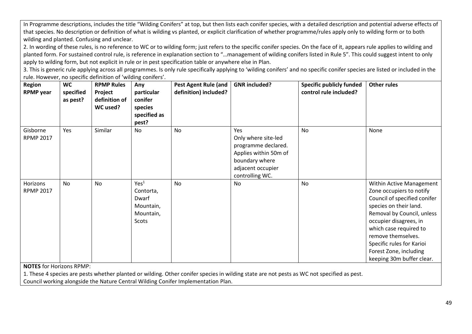In Programme descriptions, includes the title "Wilding Conifers" at top, but then lists each conifer species, with a detailed description and potential adverse effects of that species. No description or definition of what is wilding vs planted, or explicit clarification of whether programme/rules apply only to wilding form or to both wilding and planted. Confusing and unclear.

2. In wording of these rules, is no reference to WC or to wilding form; just refers to the specific conifer species. On the face of it, appears rule applies to wilding and planted form. For sustained control rule, is reference in explanation section to "…management of wilding conifers listed in Rule 5". This could suggest intent to only apply to wilding form, but not explicit in rule or in pest specification table or anywhere else in Plan.

3. This is generic rule applying across all programmes. Is only rule specifically applying to 'wilding conifers' and no specific conifer species are listed or included in the rule. However, no specific definition of 'wilding conifers'.

| Region<br><b>RPMP</b> year   | <b>WC</b><br>specified<br>as pest? | <b>RPMP Rules</b><br>Project<br>definition of<br>WC used? | Any<br>particular<br>conifer<br>species<br>specified as<br>pest?          | <b>Pest Agent Rule (and</b><br>definition) included? | <b>GNR</b> included?                                                                                                                 | <b>Specific publicly funded</b><br>control rule included? | <b>Other rules</b>                                                                                                                                                                                                                                                                                         |
|------------------------------|------------------------------------|-----------------------------------------------------------|---------------------------------------------------------------------------|------------------------------------------------------|--------------------------------------------------------------------------------------------------------------------------------------|-----------------------------------------------------------|------------------------------------------------------------------------------------------------------------------------------------------------------------------------------------------------------------------------------------------------------------------------------------------------------------|
| Gisborne<br><b>RPMP 2017</b> | Yes                                | Similar                                                   | <b>No</b>                                                                 | No                                                   | Yes<br>Only where site-led<br>programme declared.<br>Applies within 50m of<br>boundary where<br>adjacent occupier<br>controlling WC. | No                                                        | None                                                                                                                                                                                                                                                                                                       |
| Horizons<br><b>RPMP 2017</b> | No                                 | No                                                        | Yes <sup>1</sup><br>Contorta,<br>Dwarf<br>Mountain,<br>Mountain,<br>Scots | No                                                   | No                                                                                                                                   | <b>No</b>                                                 | Within Active Management<br>Zone occupiers to notify<br>Council of specified conifer<br>species on their land.<br>Removal by Council, unless<br>occupier disagrees, in<br>which case required to<br>remove themselves.<br>Specific rules for Karioi<br>Forest Zone, including<br>keeping 30m buffer clear. |

**NOTES** for Horizons RPMP:

1. These 4 species are pests whether planted or wilding. Other conifer species in wilding state are not pests as WC not specified as pest.

Council working alongside the Nature Central Wilding Conifer Implementation Plan.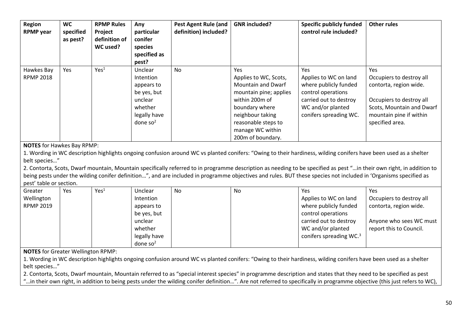| Region<br><b>RPMP</b> year     | <b>WC</b><br>specified<br>as pest? | <b>RPMP Rules</b><br>Project<br>definition of<br>WC used? | Any<br>particular<br>conifer<br>species<br>specified as<br>pest?                                      | <b>Pest Agent Rule (and</b><br>definition) included? | <b>GNR</b> included?                                                                                                                                                                                        | <b>Specific publicly funded</b><br>control rule included?                                                                                            | <b>Other rules</b>                                                                                                                                               |
|--------------------------------|------------------------------------|-----------------------------------------------------------|-------------------------------------------------------------------------------------------------------|------------------------------------------------------|-------------------------------------------------------------------------------------------------------------------------------------------------------------------------------------------------------------|------------------------------------------------------------------------------------------------------------------------------------------------------|------------------------------------------------------------------------------------------------------------------------------------------------------------------|
| Hawkes Bay<br><b>RPMP 2018</b> | Yes                                | Yes <sup>1</sup>                                          | Unclear<br>Intention<br>appears to<br>be yes, but<br>unclear<br>whether<br>legally have<br>done $so2$ | No                                                   | Yes<br>Applies to WC, Scots,<br><b>Mountain and Dwarf</b><br>mountain pine; applies<br>within 200m of<br>boundary where<br>neighbour taking<br>reasonable steps to<br>manage WC within<br>200m of boundary. | Yes<br>Applies to WC on land<br>where publicly funded<br>control operations<br>carried out to destroy<br>WC and/or planted<br>conifers spreading WC. | Yes<br>Occupiers to destroy all<br>contorta, region wide.<br>Occupiers to destroy all<br>Scots, Mountain and Dwarf<br>mountain pine if within<br>specified area. |

**NOTES** for Hawkes Bay RPMP:

1. Wording in WC description highlights ongoing confusion around WC vs planted conifers: "Owing to their hardiness, wilding conifers have been used as a shelter belt species…"

2. Contorta, Scots, Dwarf mountain, Mountain specifically referred to in programme description as needing to be specified as pest "…in their own right, in addition to being pests under the wilding conifer definition…", and are included in programme objectives and rules. BUT these species not included in 'Organisms specified as pest' table or section.

| Greater          | Yes | Yes <sup>1</sup> | Unclear      | No | No | Yes                      | Yes                      |
|------------------|-----|------------------|--------------|----|----|--------------------------|--------------------------|
| Wellington       |     |                  | Intention    |    |    | Applies to WC on land    | Occupiers to destroy all |
| <b>RPMP 2019</b> |     |                  | appears to   |    |    | where publicly funded    | contorta, region wide.   |
|                  |     |                  | be yes, but  |    |    | control operations       |                          |
|                  |     |                  | unclear      |    |    | carried out to destroy   | Anyone who sees WC must  |
|                  |     |                  | whether      |    |    | WC and/or planted        | report this to Council.  |
|                  |     |                  | legally have |    |    | conifers spreading $WC3$ |                          |
|                  |     |                  | done $so2$   |    |    |                          |                          |

**NOTES** for Greater Wellington RPMP:

1. Wording in WC description highlights ongoing confusion around WC vs planted conifers: "Owing to their hardiness, wilding conifers have been used as a shelter belt species…"

2. Contorta, Scots, Dwarf mountain, Mountain referred to as "special interest species" in programme description and states that they need to be specified as pest

"...in their own right, in addition to being pests under the wilding conifer definition...". Are not referred to specifically in programme objective (this just refers to WC),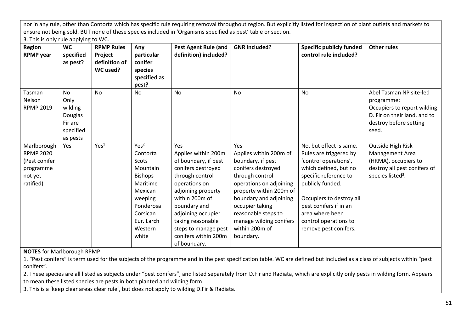nor in any rule, other than Contorta which has specific rule requiring removal throughout region. But explicitly listed for inspection of plant outlets and markets to ensure not being sold. BUT none of these species included in 'Organisms specified as pest' table or section.

3. This is only rule applying to WC.

| <b>Region</b><br><b>RPMP</b> year                                                     | <b>WC</b><br>specified<br>as pest?                                   | <b>RPMP Rules</b><br>Project<br>definition of<br>WC used? | Any<br>particular<br>conifer<br>species<br>specified as<br>pest?                                                                                                 | <b>Pest Agent Rule (and</b><br>definition) included?                                                                                                                                                                                                                            | <b>GNR</b> included?                                                                                                                                                                                                                                                            | <b>Specific publicly funded</b><br>control rule included?                                                                                                                                                                                                                   | <b>Other rules</b>                                                                                                                      |
|---------------------------------------------------------------------------------------|----------------------------------------------------------------------|-----------------------------------------------------------|------------------------------------------------------------------------------------------------------------------------------------------------------------------|---------------------------------------------------------------------------------------------------------------------------------------------------------------------------------------------------------------------------------------------------------------------------------|---------------------------------------------------------------------------------------------------------------------------------------------------------------------------------------------------------------------------------------------------------------------------------|-----------------------------------------------------------------------------------------------------------------------------------------------------------------------------------------------------------------------------------------------------------------------------|-----------------------------------------------------------------------------------------------------------------------------------------|
| Tasman<br>Nelson<br><b>RPMP 2019</b>                                                  | No<br>Only<br>wilding<br>Douglas<br>Fir are<br>specified<br>as pests | <b>No</b>                                                 | No                                                                                                                                                               | No                                                                                                                                                                                                                                                                              | No                                                                                                                                                                                                                                                                              | No                                                                                                                                                                                                                                                                          | Abel Tasman NP site-led<br>programme:<br>Occupiers to report wilding<br>D. Fir on their land, and to<br>destroy before setting<br>seed. |
| Marlborough<br><b>RPMP 2020</b><br>(Pest conifer<br>programme<br>not yet<br>ratified) | Yes                                                                  | Yes <sup>1</sup>                                          | Yes <sup>2</sup><br>Contorta<br>Scots<br>Mountain<br><b>Bishops</b><br>Maritime<br>Mexican<br>weeping<br>Ponderosa<br>Corsican<br>Eur. Larch<br>Western<br>white | Yes<br>Applies within 200m<br>of boundary, if pest<br>conifers destroyed<br>through control<br>operations on<br>adjoining property<br>within 200m of<br>boundary and<br>adjoining occupier<br>taking reasonable<br>steps to manage pest<br>conifers within 200m<br>of boundary. | Yes<br>Applies within 200m of<br>boundary, if pest<br>conifers destroyed<br>through control<br>operations on adjoining<br>property within 200m of<br>boundary and adjoining<br>occupier taking<br>reasonable steps to<br>manage wilding conifers<br>within 200m of<br>boundary. | No, but effect is same.<br>Rules are triggered by<br>'control operations',<br>which defined, but no<br>specific reference to<br>publicly funded.<br>Occupiers to destroy all<br>pest conifers if in an<br>area where been<br>control operations to<br>remove pest conifers. | Outside High Risk<br>Management Area<br>(HRMA), occupiers to<br>destroy all pest conifers of<br>species listed <sup>3</sup> .           |

**NOTES** for Marlborough RPMP:

1. "Pest conifers" is term used for the subjects of the programme and in the pest specification table. WC are defined but included as a class of subjects within "pest conifers".

2. These species are all listed as subjects under "pest conifers", and listed separately from D.Fir and Radiata, which are explicitly only pests in wilding form. Appears to mean these listed species are pests in both planted and wilding form.

3. This is a 'keep clear areas clear rule', but does not apply to wilding D.Fir & Radiata.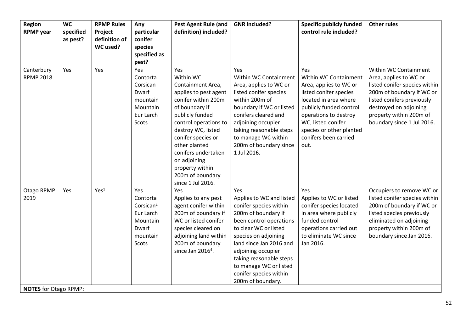| <b>Region</b><br><b>RPMP</b> year                  | <b>WC</b><br>specified<br>as pest? | <b>RPMP Rules</b><br>Project<br>definition of<br>WC used? | Any<br>particular<br>conifer<br>species<br>specified as<br>pest?                                | <b>Pest Agent Rule (and</b><br>definition) included?                                                                                                                                                                                                                                                                | <b>GNR</b> included?                                                                                                                                                                                                                                                                                              | <b>Specific publicly funded</b><br>control rule included?                                                                                                                                                                                        | <b>Other rules</b>                                                                                                                                                                                                             |
|----------------------------------------------------|------------------------------------|-----------------------------------------------------------|-------------------------------------------------------------------------------------------------|---------------------------------------------------------------------------------------------------------------------------------------------------------------------------------------------------------------------------------------------------------------------------------------------------------------------|-------------------------------------------------------------------------------------------------------------------------------------------------------------------------------------------------------------------------------------------------------------------------------------------------------------------|--------------------------------------------------------------------------------------------------------------------------------------------------------------------------------------------------------------------------------------------------|--------------------------------------------------------------------------------------------------------------------------------------------------------------------------------------------------------------------------------|
| Canterbury<br><b>RPMP 2018</b>                     | Yes                                | Yes                                                       | Yes<br>Contorta<br>Corsican<br>Dwarf<br>mountain<br>Mountain<br>Eur Larch<br>Scots              | Yes<br>Within WC<br>Containment Area,<br>applies to pest agent<br>conifer within 200m<br>of boundary if<br>publicly funded<br>control operations to<br>destroy WC, listed<br>conifer species or<br>other planted<br>conifers undertaken<br>on adjoining<br>property within<br>200m of boundary<br>since 1 Jul 2016. | Yes<br>Within WC Containment<br>Area, applies to WC or<br>listed conifer species<br>within 200m of<br>boundary if WC or listed<br>conifers cleared and<br>adjoining occupier<br>taking reasonable steps<br>to manage WC within<br>200m of boundary since<br>1 Jul 2016.                                           | Yes<br>Within WC Containment<br>Area, applies to WC or<br>listed conifer species<br>located in area where<br>publicly funded control<br>operations to destroy<br>WC, listed conifer<br>species or other planted<br>conifers been carried<br>out. | Within WC Containment<br>Area, applies to WC or<br>listed conifer species within<br>200m of boundary if WC or<br>listed conifers previously<br>destroyed on adjoining<br>property within 200m of<br>boundary since 1 Jul 2016. |
| Otago RPMP<br>2019<br><b>NOTES</b> for Otago RPMP: | Yes                                | Yes <sup>1</sup>                                          | Yes<br>Contorta<br>Corsican <sup>2</sup><br>Eur Larch<br>Mountain<br>Dwarf<br>mountain<br>Scots | <b>Yes</b><br>Applies to any pest<br>agent conifer within<br>200m of boundary if<br>WC or listed conifer<br>species cleared on<br>adjoining land within<br>200m of boundary<br>since Jan 2016 <sup>4</sup> .                                                                                                        | Yes<br>Applies to WC and listed<br>conifer species within<br>200m of boundary if<br>been control operations<br>to clear WC or listed<br>species on adjoining<br>land since Jan 2016 and<br>adjoining occupier<br>taking reasonable steps<br>to manage WC or listed<br>conifer species within<br>200m of boundary. | Yes<br>Applies to WC or listed<br>conifer species located<br>in area where publicly<br>funded control<br>operations carried out<br>to eliminate WC since<br>Jan 2016.                                                                            | Occupiers to remove WC or<br>listed conifer species within<br>200m of boundary if WC or<br>listed species previously<br>eliminated on adjoining<br>property within 200m of<br>boundary since Jan 2016.                         |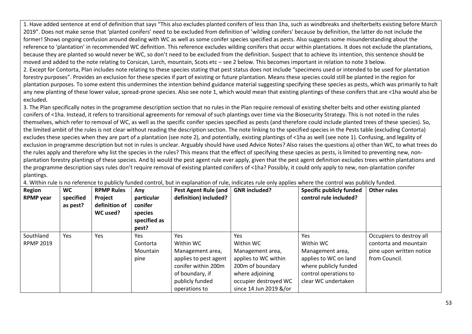1. Have added sentence at end of definition that says "This also excludes planted conifers of less than 1ha, such as windbreaks and shelterbelts existing before March 2019". Does not make sense that 'planted conifers' need to be excluded from definition of 'wilding conifers' because by definition, the latter do not include the former! Shows ongoing confusion around dealing with WC as well as some conifer species specified as pests. Also suggests some misunderstanding about the reference to 'plantation' in recommended WC definition. This reference excludes wilding conifers that occur within plantations. It does not exclude the plantations, because they are planted so would never be WC, so don't need to be excluded from the definition. Suspect that to achieve its intention, this sentence should be moved and added to the note relating to Corsican, Larch, mountain, Scots etc – see 2 below. This becomes important in relation to note 3 below. 2. Except for Contorta, Plan includes note relating to these species stating that pest status does not include "specimens used or intended to be used for plantation forestry purposes". Provides an exclusion for these species if part of existing or future plantation. Means these species could still be planted in the region for plantation purposes. To some extent this undermines the intention behind guidance material suggesting specifying these species as pests, which was primarily to halt any new planting of these lower value, spread-prone species. Also see note 1, which would mean that existing plantings of these conifers that are <1ha would also be excluded.

3. The Plan specifically notes in the programme description section that no rules in the Plan require removal of existing shelter belts and other existing planted conifers of <1ha. Instead, it refers to transitional agreements for removal of such plantings over time via the Biosecurity Strategy. This is not noted in the rules themselves, which refer to removal of WC, as well as the specific conifer species specified as pests (and therefore could include planted trees of these species). So, the limited ambit of the rules is not clear without reading the description section. The note linking to the specified species in the Pests table (excluding Contorta) excludes these species when they are part of a plantation (see note 2), and potentially, existing plantings of <1ha as well (see note 1). Confusing, and legality of exclusion in programme description but not in rules is unclear. Arguably should have used Advice Notes? Also raises the questions a) other than WC, to what trees do the rules apply and therefore why list the species in the rules? This means that the effect of specifying these species as pests, is limited to preventing new, nonplantation forestry plantings of these species. And b) would the pest agent rule ever apply, given that the pest agent definition excludes trees within plantations and the programme description says rules don't require removal of existing planted conifers of <1ha? Possibly, it could only apply to new, non-plantation conifer plantings.

| Region<br><b>RPMP</b> year    | <b>WC</b><br>specified<br>as pest? | <b>RPMP Rules</b><br>Project<br>definition of<br>WC used? | Any<br>particular<br>conifer<br>species<br>specified as<br>pest? | Pest Agent Rule (and<br>definition) included?                                                                                                      | <b>GNR</b> included?                                                                                                                                               | <b>Specific publicly funded</b><br>control rule included?                                                                              | <b>Other rules</b>                                                                             |  |  |
|-------------------------------|------------------------------------|-----------------------------------------------------------|------------------------------------------------------------------|----------------------------------------------------------------------------------------------------------------------------------------------------|--------------------------------------------------------------------------------------------------------------------------------------------------------------------|----------------------------------------------------------------------------------------------------------------------------------------|------------------------------------------------------------------------------------------------|--|--|
| Southland<br><b>RPMP 2019</b> | Yes                                | Yes                                                       | <b>Yes</b><br>Contorta<br>Mountain<br>pine                       | <b>Yes</b><br>Within WC<br>Management area,<br>applies to pest agent<br>conifer within 200m<br>of boundary, if<br>publicly funded<br>operations to | Yes<br>Within WC<br>Management area,<br>applies to WC within<br>200 <sub>m</sub> of boundary<br>where adjoining<br>occupier destroyed WC<br>since 14 Jun 2019 &/or | Yes<br>Within WC<br>Management area,<br>applies to WC on land<br>where publicly funded<br>control operations to<br>clear WC undertaken | Occupiers to destroy all<br>contorta and mountain<br>pine upon written notice<br>from Council. |  |  |

4. Within rule is no reference to publicly funded control, but in explanation of rule, indicates rule only applies where the control was publicly funded.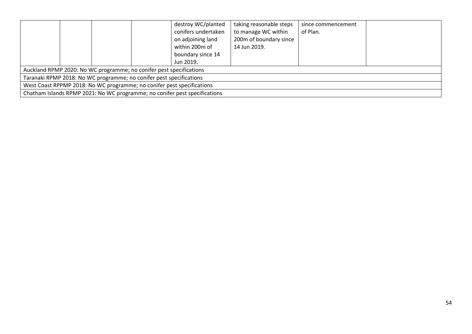|                                                                            |  |  |  | destroy WC/planted<br>conifers undertaken<br>on adjoining land<br>within 200m of<br>boundary since 14<br>Jun 2019. | taking reasonable steps<br>to manage WC within<br>200m of boundary since<br>14 Jun 2019. | since commencement<br>of Plan. |  |
|----------------------------------------------------------------------------|--|--|--|--------------------------------------------------------------------------------------------------------------------|------------------------------------------------------------------------------------------|--------------------------------|--|
| Auckland RPMP 2020: No WC programme; no conifer pest specifications        |  |  |  |                                                                                                                    |                                                                                          |                                |  |
| Taranaki RPMP 2018: No WC programme; no conifer pest specifications        |  |  |  |                                                                                                                    |                                                                                          |                                |  |
| West Coast RPPMP 2018: No WC programme; no conifer pest specifications     |  |  |  |                                                                                                                    |                                                                                          |                                |  |
| Chatham Islands RPMP 2021: No WC programme; no conifer pest specifications |  |  |  |                                                                                                                    |                                                                                          |                                |  |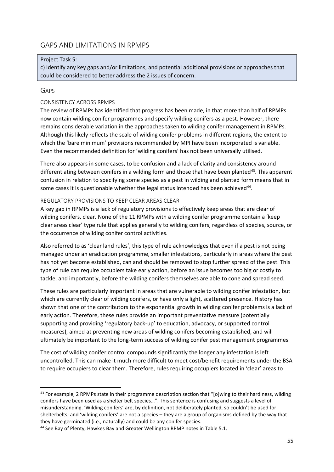### <span id="page-54-0"></span>GAPS AND LIMITATIONS IN RPMPS

#### Project Task 5:

c) Identify any key gaps and/or limitations, and potential additional provisions or approaches that could be considered to better address the 2 issues of concern.

#### <span id="page-54-1"></span>GAPS

#### CONSISTENCY ACROSS RPMPS

The review of RPMPs has identified that progress has been made, in that more than half of RPMPs now contain wilding conifer programmes and specify wilding conifers as a pest. However, there remains considerable variation in the approaches taken to wilding conifer management in RPMPs. Although this likely reflects the scale of wilding conifer problems in different regions, the extent to which the 'bare minimum' provisions recommended by MPI have been incorporated is variable. Even the recommended definition for 'wilding conifers' has not been universally utilised.

There also appears in some cases, to be confusion and a lack of clarity and consistency around differentiating between conifers in a wilding form and those that have been planted<sup>43</sup>. This apparent confusion in relation to specifying some species as a pest in wilding and planted form means that in some cases it is questionable whether the legal status intended has been achieved<sup>44</sup>.

#### REGULATORY PROVISIONS TO KEEP CLEAR AREAS CLEAR

A key gap in RPMPs is a lack of regulatory provisions to effectively keep areas that are clear of wilding conifers, clear. None of the 11 RPMPs with a wilding conifer programme contain a 'keep clear areas clear' type rule that applies generally to wilding conifers, regardless of species, source, or the occurrence of wilding conifer control activities.

Also referred to as 'clear land rules', this type of rule acknowledges that even if a pest is not being managed under an eradication programme, smaller infestations, particularly in areas where the pest has not yet become established, can and should be removed to stop further spread of the pest. This type of rule can require occupiers take early action, before an issue becomes too big or costly to tackle, and importantly, before the wilding conifers themselves are able to cone and spread seed.

These rules are particularly important in areas that are vulnerable to wilding conifer infestation, but which are currently clear of wilding conifers, or have only a light, scattered presence. History has shown that one of the contributors to the exponential growth in wilding conifer problems is a lack of early action. Therefore, these rules provide an important preventative measure (potentially supporting and providing 'regulatory back-up' to education, advocacy, or supported control measures), aimed at preventing new areas of wilding conifers becoming established, and will ultimately be important to the long-term success of wilding conifer pest management programmes.

The cost of wilding conifer control compounds significantly the longer any infestation is left uncontrolled. This can make it much more difficult to meet cost/benefit requirements under the BSA to require occupiers to clear them. Therefore, rules requiring occupiers located in 'clear' areas to

<sup>43</sup> For example, 2 RPMPs state in their programme description section that "[o]wing to their hardiness, wilding conifers have been used as a shelter belt species…". This sentence is confusing and suggests a level of misunderstanding. 'Wilding conifers' are, by definition, not deliberately planted, so couldn't be used for shelterbelts; and 'wilding conifers' are not a species – they are a group of organisms defined by the way that they have germinated (i.e., naturally) and could be any conifer species.

<sup>44</sup> See Bay of Plenty, Hawkes Bay and Greater Wellington RPMP notes in Table 5.1.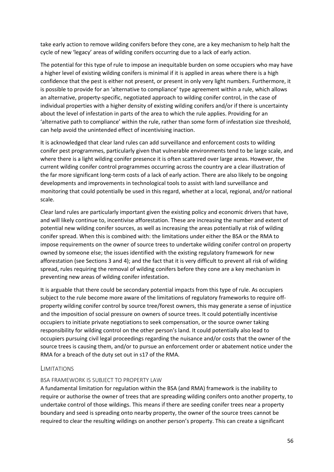take early action to remove wilding conifers before they cone, are a key mechanism to help halt the cycle of new 'legacy' areas of wilding conifers occurring due to a lack of early action.

The potential for this type of rule to impose an inequitable burden on some occupiers who may have a higher level of existing wilding conifers is minimal if it is applied in areas where there is a high confidence that the pest is either not present, or present in only very light numbers. Furthermore, it is possible to provide for an 'alternative to compliance' type agreement within a rule, which allows an alternative, property-specific, negotiated approach to wilding conifer control, in the case of individual properties with a higher density of existing wilding conifers and/or if there is uncertainty about the level of infestation in parts of the area to which the rule applies. Providing for an 'alternative path to compliance' within the rule, rather than some form of infestation size threshold, can help avoid the unintended effect of incentivising inaction.

It is acknowledged that clear land rules can add surveillance and enforcement costs to wilding conifer pest programmes, particularly given that vulnerable environments tend to be large scale, and where there is a light wilding conifer presence it is often scattered over large areas. However, the current wilding conifer control programmes occurring across the country are a clear illustration of the far more significant long-term costs of a lack of early action. There are also likely to be ongoing developments and improvements in technological tools to assist with land surveillance and monitoring that could potentially be used in this regard, whether at a local, regional, and/or national scale.

Clear land rules are particularly important given the existing policy and economic drivers that have, and will likely continue to, incentivise afforestation. These are increasing the number and extent of potential new wilding conifer sources, as well as increasing the areas potentially at risk of wilding conifer spread. When this is combined with: the limitations under either the BSA or the RMA to impose requirements on the owner of source trees to undertake wilding conifer control on property owned by someone else; the issues identified with the existing regulatory framework for new afforestation (see Sections 3 and 4); and the fact that it is very difficult to prevent all risk of wilding spread, rules requiring the removal of wilding conifers before they cone are a key mechanism in preventing new areas of wilding conifer infestation.

It is arguable that there could be secondary potential impacts from this type of rule. As occupiers subject to the rule become more aware of the limitations of regulatory frameworks to require offproperty wilding conifer control by source tree/forest owners, this may generate a sense of injustice and the imposition of social pressure on owners of source trees. It could potentially incentivise occupiers to initiate private negotiations to seek compensation, or the source owner taking responsibility for wilding control on the other person's land. It could potentially also lead to occupiers pursuing civil legal proceedings regarding the nuisance and/or costs that the owner of the source trees is causing them, and/or to pursue an enforcement order or abatement notice under the RMA for a breach of the duty set out in s17 of the RMA.

#### <span id="page-55-0"></span>**LIMITATIONS**

#### BSA FRAMEWORK IS SUBJECT TO PROPERTY LAW

A fundamental limitation for regulation within the BSA (and RMA) framework is the inability to require or authorise the owner of trees that are spreading wilding conifers onto another property, to undertake control of those wildings. This means if there are seeding conifer trees near a property boundary and seed is spreading onto nearby property, the owner of the source trees cannot be required to clear the resulting wildings on another person's property. This can create a significant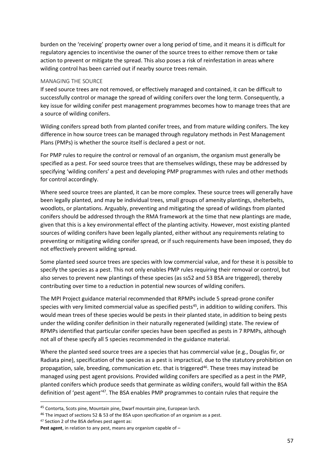burden on the 'receiving' property owner over a long period of time, and it means it is difficult for regulatory agencies to incentivise the owner of the source trees to either remove them or take action to prevent or mitigate the spread. This also poses a risk of reinfestation in areas where wilding control has been carried out if nearby source trees remain.

#### MANAGING THE SOURCE

If seed source trees are not removed, or effectively managed and contained, it can be difficult to successfully control or manage the spread of wilding conifers over the long term. Consequently, a key issue for wilding conifer pest management programmes becomes how to manage trees that are a source of wilding conifers.

Wilding conifers spread both from planted conifer trees, and from mature wilding conifers. The key difference in how source trees can be managed through regulatory methods in Pest Management Plans (PMPs) is whether the source itself is declared a pest or not.

For PMP rules to require the control or removal of an organism, the organism must generally be specified as a pest. For seed source trees that are themselves wildings, these may be addressed by specifying 'wilding conifers' a pest and developing PMP programmes with rules and other methods for control accordingly.

Where seed source trees are planted, it can be more complex. These source trees will generally have been legally planted, and may be individual trees, small groups of amenity plantings, shelterbelts, woodlots, or plantations. Arguably, preventing and mitigating the spread of wildings from planted conifers should be addressed through the RMA framework at the time that new plantings are made, given that this is a key environmental effect of the planting activity. However, most existing planted sources of wilding conifers have been legally planted, either without any requirements relating to preventing or mitigating wilding conifer spread, or if such requirements have been imposed, they do not effectively prevent wilding spread.

Some planted seed source trees are species with low commercial value, and for these it is possible to specify the species as a pest. This not only enables PMP rules requiring their removal or control, but also serves to prevent new plantings of these species (as ss52 and 53 BSA are triggered), thereby contributing over time to a reduction in potential new sources of wilding conifers.

The MPI Project guidance material recommended that RPMPs include 5 spread-prone conifer species with very limited commercial value as specified pests $45$ , in addition to wilding conifers. This would mean trees of these species would be pests in their planted state, in addition to being pests under the wilding conifer definition in their naturally regenerated (wilding) state. The review of RPMPs identified that particular conifer species have been specified as pests in 7 RPMPs, although not all of these specify all 5 species recommended in the guidance material.

Where the planted seed source trees are a species that has commercial value (e.g., Douglas fir, or Radiata pine), specification of the species as a pest is impractical, due to the statutory prohibition on propagation, sale, breeding, communication etc. that is triggered<sup>46</sup>. These trees may instead be managed using pest agent provisions. Provided wilding conifers are specified as a pest in the PMP, planted conifers which produce seeds that germinate as wilding conifers, would fall within the BSA definition of 'pest agent'<sup>47</sup>. The BSA enables PMP programmes to contain rules that require the

<sup>45</sup> Contorta, Scots pine, Mountain pine, Dwarf mountain pine, European larch.

<sup>46</sup> The impact of sections 52 & 53 of the BSA upon specification of an organism as a pest.

<sup>47</sup> Section 2 of the BSA defines pest agent as:

**Pest agent**, in relation to any pest, means any organism capable of –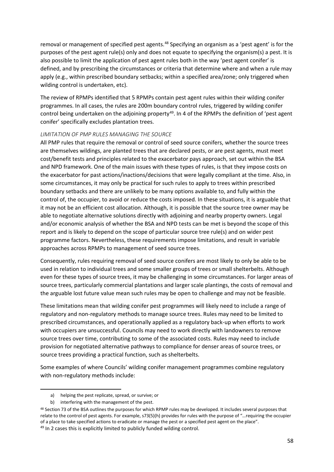removal or management of specified pest agents.<sup>48</sup> Specifying an organism as a 'pest agent' is for the purposes of the pest agent rule(s) only and does not equate to specifying the organism(s) a pest. It is also possible to limit the application of pest agent rules both in the way 'pest agent conifer' is defined, and by prescribing the circumstances or criteria that determine where and when a rule may apply (e.g., within prescribed boundary setbacks; within a specified area/zone; only triggered when wilding control is undertaken, etc).

The review of RPMPs identified that 5 RPMPs contain pest agent rules within their wilding conifer programmes. In all cases, the rules are 200m boundary control rules, triggered by wilding conifer control being undertaken on the adjoining property<sup>49</sup>. In 4 of the RPMPs the definition of 'pest agent conifer' specifically excludes plantation trees.

#### *LIMITATION OF PMP RULES MANAGING THE SOURCE*

All PMP rules that require the removal or control of seed source conifers, whether the source trees are themselves wildings, are planted trees that are declared pests, or are pest agents, must meet cost/benefit tests and principles related to the exacerbator pays approach, set out within the BSA and NPD framework. One of the main issues with these types of rules, is that they impose costs on the exacerbator for past actions/inactions/decisions that were legally compliant at the time. Also, in some circumstances, it may only be practical for such rules to apply to trees within prescribed boundary setbacks and there are unlikely to be many options available to, and fully within the control of, the occupier, to avoid or reduce the costs imposed. In these situations, it is arguable that it may not be an efficient cost allocation. Although, it is possible that the source tree owner may be able to negotiate alternative solutions directly with adjoining and nearby property owners. Legal and/or economic analysis of whether the BSA and NPD tests can be met is beyond the scope of this report and is likely to depend on the scope of particular source tree rule(s) and on wider pest programme factors. Nevertheless, these requirements impose limitations, and result in variable approaches across RPMPs to management of seed source trees.

Consequently, rules requiring removal of seed source conifers are most likely to only be able to be used in relation to individual trees and some smaller groups of trees or small shelterbelts. Although even for these types of source trees, it may be challenging in some circumstances. For larger areas of source trees, particularly commercial plantations and larger scale plantings, the costs of removal and the arguable lost future value mean such rules may be open to challenge and may not be feasible.

These limitations mean that wilding conifer pest programmes will likely need to include a range of regulatory and non-regulatory methods to manage source trees. Rules may need to be limited to prescribed circumstances, and operationally applied as a regulatory back-up when efforts to work with occupiers are unsuccessful. Councils may need to work directly with landowners to remove source trees over time, contributing to some of the associated costs. Rules may need to include provision for negotiated alternative pathways to compliance for denser areas of source trees, or source trees providing a practical function, such as shelterbelts.

Some examples of where Councils' wilding conifer management programmes combine regulatory with non-regulatory methods include:

a) helping the pest replicate, spread, or survive; or

b) interfering with the management of the pest.

<sup>48</sup> Section 73 of the BSA outlines the purposes for which RPMP rules may be developed. It includes several purposes that relate to the control of pest agents. For example, s73(5)(h) provides for rules with the purpose of "…requiring the occupier of a place to take specified actions to eradicate or manage the pest or a specified pest agent on the place". <sup>49</sup> In 2 cases this is explicitly limited to publicly funded wilding control.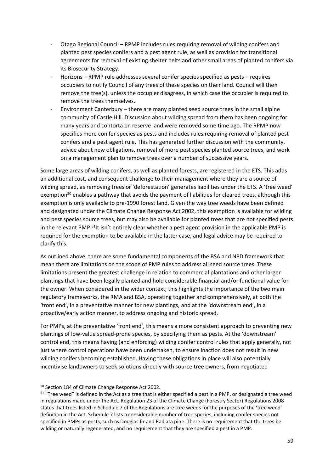- Otago Regional Council RPMP includes rules requiring removal of wilding conifers and planted pest species conifers and a pest agent rule, as well as provision for transitional agreements for removal of existing shelter belts and other small areas of planted conifers via its Biosecurity Strategy.
- Horizons RPMP rule addresses several conifer species specified as pests requires occupiers to notify Council of any trees of these species on their land. Council will then remove the tree(s), unless the occupier disagrees, in which case the occupier is required to remove the trees themselves.
- Environment Canterbury there are many planted seed source trees in the small alpine community of Castle Hill. Discussion about wilding spread from them has been ongoing for many years and contorta on reserve land were removed some time ago. The RPMP now specifies more conifer species as pests and includes rules requiring removal of planted pest conifers and a pest agent rule. This has generated further discussion with the community, advice about new obligations, removal of more pest species planted source trees, and work on a management plan to remove trees over a number of successive years.

Some large areas of wilding conifers, as well as planted forests, are registered in the ETS. This adds an additional cost, and consequent challenge to their management where they are a source of wilding spread, as removing trees or 'deforestation' generates liabilities under the ETS. A 'tree weed' exemption<sup>50</sup> enables a pathway that avoids the payment of liabilities for cleared trees, although this exemption is only available to pre-1990 forest land. Given the way tree weeds have been defined and designated under the Climate Change Response Act 2002, this exemption is available for wilding and pest species source trees, but may also be available for planted trees that are not specified pests in the relevant PMP.<sup>51</sup>It isn't entirely clear whether a pest agent provision in the applicable PMP is required for the exemption to be available in the latter case, and legal advice may be required to clarify this.

As outlined above, there are some fundamental components of the BSA and NPD framework that mean there are limitations on the scope of PMP rules to address all seed source trees. These limitations present the greatest challenge in relation to commercial plantations and other larger plantings that have been legally planted and hold considerable financial and/or functional value for the owner. When considered in the wider context, this highlights the importance of the two main regulatory frameworks, the RMA and BSA, operating together and comprehensively, at both the 'front end', in a preventative manner for new plantings, and at the 'downstream end', in a proactive/early action manner, to address ongoing and historic spread.

For PMPs, at the preventative 'front end', this means a more consistent approach to preventing new plantings of low-value spread-prone species, by specifying them as pests. At the 'downstream' control end, this means having (and enforcing) wilding conifer control rules that apply generally, not just where control operations have been undertaken, to ensure inaction does not result in new wilding conifers becoming established. Having these obligations in place will also potentially incentivise landowners to seek solutions directly with source tree owners, from negotiated

<sup>50</sup> Section 184 of Climate Change Response Act 2002.

<sup>51</sup> "Tree weed" is defined in the Act as a tree that is either specified a pest in a PMP, or designated a tree weed in regulations made under the Act. Regulation 23 of the Climate Change (Forestry Sector) Regulations 2008 states that trees listed in Schedule 7 of the Regulations are tree weeds for the purposes of the 'tree weed' definition in the Act. Schedule 7 lists a considerable number of tree species, including conifer species not specified in PMPs as pests, such as Douglas fir and Radiata pine. There is no requirement that the trees be wilding or naturally regenerated, and no requirement that they are specified a pest in a PMP.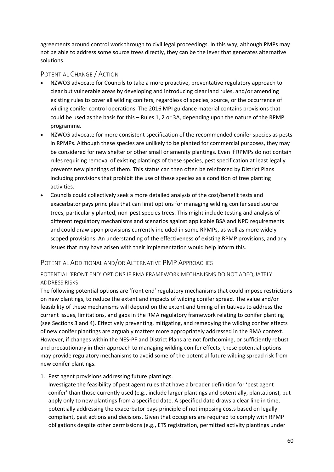agreements around control work through to civil legal proceedings. In this way, although PMPs may not be able to address some source trees directly, they can be the lever that generates alternative solutions.

### <span id="page-59-0"></span>POTENTIAL CHANGE / ACTION

- NZWCG advocate for Councils to take a more proactive, preventative regulatory approach to clear but vulnerable areas by developing and introducing clear land rules, and/or amending existing rules to cover all wilding conifers, regardless of species, source, or the occurrence of wilding conifer control operations. The 2016 MPI guidance material contains provisions that could be used as the basis for this – Rules 1, 2 or 3A, depending upon the nature of the RPMP programme.
- NZWCG advocate for more consistent specification of the recommended conifer species as pests in RPMPs. Although these species are unlikely to be planted for commercial purposes, they may be considered for new shelter or other small or amenity plantings. Even if RPMPs do not contain rules requiring removal of existing plantings of these species, pest specification at least legally prevents new plantings of them. This status can then often be reinforced by District Plans including provisions that prohibit the use of these species as a condition of tree planting activities.
- Councils could collectively seek a more detailed analysis of the cost/benefit tests and exacerbator pays principles that can limit options for managing wilding conifer seed source trees, particularly planted, non-pest species trees. This might include testing and analysis of different regulatory mechanisms and scenarios against applicable BSA and NPD requirements and could draw upon provisions currently included in some RPMPs, as well as more widely scoped provisions. An understanding of the effectiveness of existing RPMP provisions, and any issues that may have arisen with their implementation would help inform this.

### <span id="page-59-1"></span>POTENTIAL ADDITIONAL AND/OR ALTERNATIVE PMP APPROACHES

#### POTENTIAL 'FRONT END' OPTIONS IF RMA FRAMEWORK MECHANISMS DO NOT ADEQUATELY ADDRESS RISKS

The following potential options are 'front end' regulatory mechanisms that could impose restrictions on new plantings, to reduce the extent and impacts of wilding conifer spread. The value and/or feasibility of these mechanisms will depend on the extent and timing of initiatives to address the current issues, limitations, and gaps in the RMA regulatory framework relating to conifer planting (see Sections 3 and 4). Effectively preventing, mitigating, and remedying the wilding conifer effects of new conifer plantings are arguably matters more appropriately addressed in the RMA context. However, if changes within the NES-PF and District Plans are not forthcoming, or sufficiently robust and precautionary in their approach to managing wilding conifer effects, these potential options may provide regulatory mechanisms to avoid some of the potential future wilding spread risk from new conifer plantings.

1. Pest agent provisions addressing future plantings.

Investigate the feasibility of pest agent rules that have a broader definition for 'pest agent conifer' than those currently used (e.g., include larger plantings and potentially, plantations), but apply only to new plantings from a specified date. A specified date draws a clear line in time, potentially addressing the exacerbator pays principle of not imposing costs based on legally compliant, past actions and decisions. Given that occupiers are required to comply with RPMP obligations despite other permissions (e.g., ETS registration, permitted activity plantings under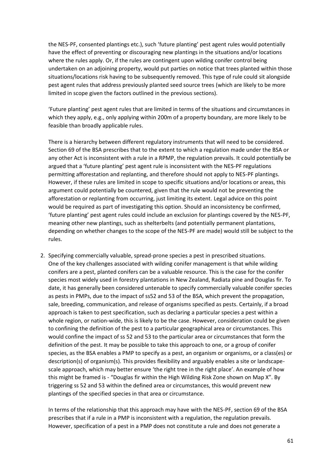the NES-PF, consented plantings etc.), such 'future planting' pest agent rules would potentially have the effect of preventing or discouraging new plantings in the situations and/or locations where the rules apply. Or, if the rules are contingent upon wilding conifer control being undertaken on an adjoining property, would put parties on notice that trees planted within those situations/locations risk having to be subsequently removed. This type of rule could sit alongside pest agent rules that address previously planted seed source trees (which are likely to be more limited in scope given the factors outlined in the previous sections).

'Future planting' pest agent rules that are limited in terms of the situations and circumstances in which they apply, e.g., only applying within 200m of a property boundary, are more likely to be feasible than broadly applicable rules.

There is a hierarchy between different regulatory instruments that will need to be considered. Section 69 of the BSA prescribes that to the extent to which a regulation made under the BSA or any other Act is inconsistent with a rule in a RPMP, the regulation prevails. It could potentially be argued that a 'future planting' pest agent rule is inconsistent with the NES-PF regulations permitting afforestation and replanting, and therefore should not apply to NES-PF plantings. However, if these rules are limited in scope to specific situations and/or locations or areas, this argument could potentially be countered, given that the rule would not be preventing the afforestation or replanting from occurring, just limiting its extent. Legal advice on this point would be required as part of investigating this option. Should an inconsistency be confirmed, 'future planting' pest agent rules could include an exclusion for plantings covered by the NES-PF, meaning other new plantings, such as shelterbelts (and potentially permanent plantations, depending on whether changes to the scope of the NES-PF are made) would still be subject to the rules.

2. Specifying commercially valuable, spread-prone species a pest in prescribed situations. One of the key challenges associated with wilding conifer management is that while wilding conifers are a pest, planted conifers can be a valuable resource. This is the case for the conifer species most widely used in forestry plantations in New Zealand, Radiata pine and Douglas fir. To date, it has generally been considered untenable to specify commercially valuable conifer species as pests in PMPs, due to the impact of ss52 and 53 of the BSA, which prevent the propagation, sale, breeding, communication, and release of organisms specified as pests. Certainly, if a broad approach is taken to pest specification, such as declaring a particular species a pest within a whole region, or nation-wide, this is likely to be the case. However, consideration could be given to confining the definition of the pest to a particular geographical area or circumstances. This would confine the impact of ss 52 and 53 to the particular area or circumstances that form the definition of the pest. It may be possible to take this approach to one, or a group of conifer species, as the BSA enables a PMP to specify as a pest, an organism or organisms, or a class(es) or description(s) of organism(s). This provides flexibility and arguably enables a site or landscapescale approach, which may better ensure 'the right tree in the right place'. An example of how this might be framed is - "Douglas fir within the High Wilding Risk Zone shown on Map X". By triggering ss 52 and 53 within the defined area or circumstances, this would prevent new plantings of the specified species in that area or circumstance.

In terms of the relationship that this approach may have with the NES-PF, section 69 of the BSA prescribes that if a rule in a PMP is inconsistent with a regulation, the regulation prevails. However, specification of a pest in a PMP does not constitute a rule and does not generate a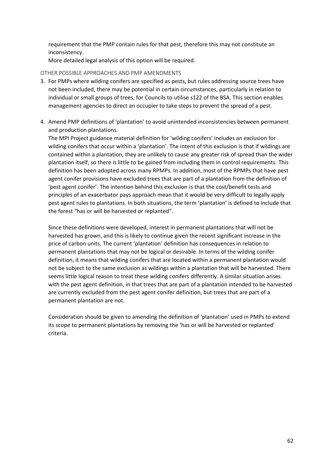requirement that the PMP contain rules for that pest, therefore this may not constitute an inconsistency.

More detailed legal analysis of this option will be required.

#### OTHER POSSIBLE APPROACHES AND PMP AMENDMENTS

- 3. For PMPs where wilding conifers are specified as pests, but rules addressing source trees have not been included, there may be potential in certain circumstances, particularly in relation to individual or small groups of trees, for Councils to utilise s122 of the BSA. This section enables management agencies to direct an occupier to take steps to prevent the spread of a pest.
- 4. Amend PMP definitions of 'plantation' to avoid unintended inconsistencies between permanent and production plantations.

The MPI Project guidance material definition for 'wilding conifers' includes an exclusion for wilding conifers that occur within a 'plantation'. The intent of this exclusion is that if wildings are contained within a plantation, they are unlikely to cause any greater risk of spread than the wider plantation itself, so there is little to be gained from including them in control requirements. This definition has been adopted across many RPMPs. In addition, most of the RPMPs that have pest agent conifer provisions have excluded trees that are part of a plantation from the definition of 'pest agent conifer'. The intention behind this exclusion is that the cost/benefit tests and principles of an exacerbator pays approach mean that it would be very difficult to legally apply pest agent rules to plantations. In both situations, the term 'plantation' is defined to include that the forest "has or will be harvested or replanted".

Since these definitions were developed, interest in permanent plantations that will not be harvested has grown, and this is likely to continue given the recent significant increase in the price of carbon units. The current 'plantation' definition has consequences in relation to permanent plantations that may not be logical or desirable. In terms of the wilding conifer definition, it means that wilding conifers that are located within a permanent plantation would not be subject to the same exclusion as wildings within a plantation that will be harvested. There seems little logical reason to treat these wilding conifers differently. A similar situation arises with the pest agent definition, in that trees that are part of a plantation intended to be harvested are currently excluded from the pest agent conifer definition, but trees that are part of a permanent plantation are not.

Consideration should be given to amending the definition of 'plantation' used in PMPs to extend its scope to permanent plantations by removing the 'has or will be harvested or replanted' criteria.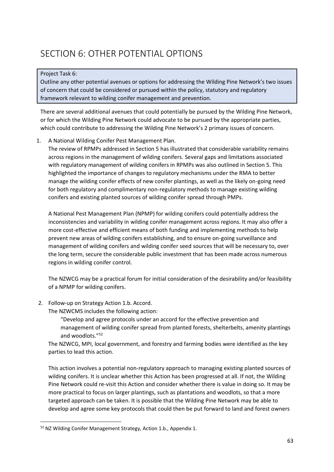## <span id="page-62-0"></span>SECTION 6: OTHER POTENTIAL OPTIONS

#### Project Task 6:

Outline any other potential avenues or options for addressing the Wilding Pine Network's two issues of concern that could be considered or pursued within the policy, statutory and regulatory framework relevant to wilding conifer management and prevention.

There are several additional avenues that could potentially be pursued by the Wilding Pine Network, or for which the Wilding Pine Network could advocate to be pursued by the appropriate parties, which could contribute to addressing the Wilding Pine Network's 2 primary issues of concern.

1. A National Wilding Conifer Pest Management Plan.

The review of RPMPs addressed in Section 5 has illustrated that considerable variability remains across regions in the management of wilding conifers. Several gaps and limitations associated with regulatory management of wilding conifers in RPMPs was also outlined in Section 5. This highlighted the importance of changes to regulatory mechanisms under the RMA to better manage the wilding conifer effects of new conifer plantings, as well as the likely on-going need for both regulatory and complimentary non-regulatory methods to manage existing wilding conifers and existing planted sources of wilding conifer spread through PMPs.

A National Pest Management Plan (NPMP) for wilding conifers could potentially address the inconsistencies and variability in wilding conifer management across regions. It may also offer a more cost-effective and efficient means of both funding and implementing methods to help prevent new areas of wilding conifers establishing, and to ensure on-going surveillance and management of wilding conifers and wilding conifer seed sources that will be necessary to, over the long term, secure the considerable public investment that has been made across numerous regions in wilding conifer control.

The NZWCG may be a practical forum for initial consideration of the desirability and/or feasibility of a NPMP for wilding conifers.

2. Follow-up on Strategy Action 1.b. Accord.

The NZWCMS includes the following action:

"Develop and agree protocols under an accord for the effective prevention and management of wilding conifer spread from planted forests, shelterbelts, amenity plantings and woodlots."<sup>52</sup>

The NZWCG, MPI, local government, and forestry and farming bodies were identified as the key parties to lead this action.

This action involves a potential non-regulatory approach to managing existing planted sources of wilding conifers. It is unclear whether this Action has been progressed at all. If not, the Wilding Pine Network could re-visit this Action and consider whether there is value in doing so. It may be more practical to focus on larger plantings, such as plantations and woodlots, so that a more targeted approach can be taken. It is possible that the Wilding Pine Network may be able to develop and agree some key protocols that could then be put forward to land and forest owners

<sup>52</sup> NZ Wilding Conifer Management Strategy, Action 1.b., Appendix 1.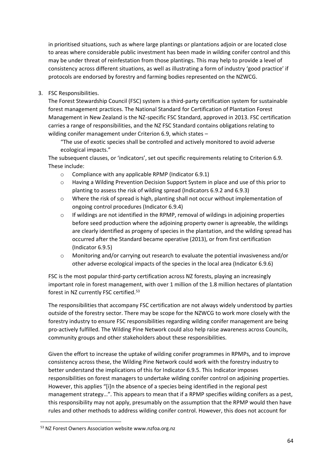in prioritised situations, such as where large plantings or plantations adjoin or are located close to areas where considerable public investment has been made in wilding conifer control and this may be under threat of reinfestation from those plantings. This may help to provide a level of consistency across different situations, as well as illustrating a form of industry 'good practice' if protocols are endorsed by forestry and farming bodies represented on the NZWCG.

3. FSC Responsibilities.

The Forest Stewardship Council (FSC) system is a third-party certification system for sustainable forest management practices. The National Standard for Certification of Plantation Forest Management in New Zealand is the NZ-specific FSC Standard, approved in 2013. FSC certification carries a range of responsibilities, and the NZ FSC Standard contains obligations relating to wilding conifer management under Criterion 6.9, which states –

"The use of exotic species shall be controlled and actively monitored to avoid adverse ecological impacts."

The subsequent clauses, or 'indicators', set out specific requirements relating to Criterion 6.9. These include:

- o Compliance with any applicable RPMP (Indicator 6.9.1)
- o Having a Wilding Prevention Decision Support System in place and use of this prior to planting to assess the risk of wilding spread (Indicators 6.9.2 and 6.9.3)
- o Where the risk of spread is high, planting shall not occur without implementation of ongoing control procedures (Indicator 6.9.4)
- o If wildings are not identified in the RPMP, removal of wildings in adjoining properties before seed production where the adjoining property owner is agreeable, the wildings are clearly identified as progeny of species in the plantation, and the wilding spread has occurred after the Standard became operative (2013), or from first certification (Indicator 6.9.5)
- o Monitoring and/or carrying out research to evaluate the potential invasiveness and/or other adverse ecological impacts of the species in the local area (Indicator 6.9.6)

FSC is the most popular third-party certification across NZ forests, playing an increasingly important role in forest management, with over 1 million of the 1.8 million hectares of plantation forest in NZ currently FSC certified.<sup>53</sup>

The responsibilities that accompany FSC certification are not always widely understood by parties outside of the forestry sector. There may be scope for the NZWCG to work more closely with the forestry industry to ensure FSC responsibilities regarding wilding conifer management are being pro-actively fulfilled. The Wilding Pine Network could also help raise awareness across Councils, community groups and other stakeholders about these responsibilities.

Given the effort to increase the uptake of wilding conifer programmes in RPMPs, and to improve consistency across these, the Wilding Pine Network could work with the forestry industry to better understand the implications of this for Indicator 6.9.5. This Indicator imposes responsibilities on forest managers to undertake wilding conifer control on adjoining properties. However, this applies "[i]n the absence of a species being identified in the regional pest management strategy…". This appears to mean that if a RPMP specifies wilding conifers as a pest, this responsibility may not apply, presumably on the assumption that the RPMP would then have rules and other methods to address wilding conifer control. However, this does not account for

<sup>53</sup> NZ Forest Owners Association website www.nzfoa.org.nz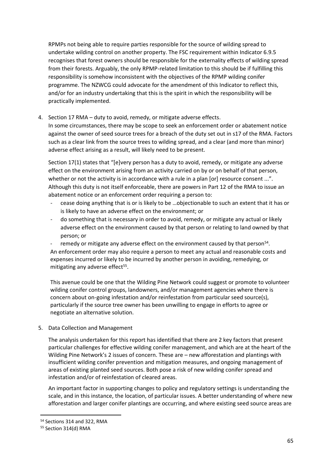RPMPs not being able to require parties responsible for the source of wilding spread to undertake wilding control on another property. The FSC requirement within Indicator 6.9.5 recognises that forest owners should be responsible for the externality effects of wilding spread from their forests. Arguably, the only RPMP-related limitation to this should be if fulfilling this responsibility is somehow inconsistent with the objectives of the RPMP wilding conifer programme. The NZWCG could advocate for the amendment of this Indicator to reflect this, and/or for an industry undertaking that this is the spirit in which the responsibility will be practically implemented.

4. Section 17 RMA – duty to avoid, remedy, or mitigate adverse effects.

In some circumstances, there may be scope to seek an enforcement order or abatement notice against the owner of seed source trees for a breach of the duty set out in s17 of the RMA. Factors such as a clear link from the source trees to wilding spread, and a clear (and more than minor) adverse effect arising as a result, will likely need to be present.

Section 17(1) states that "[e]very person has a duty to avoid, remedy, or mitigate any adverse effect on the environment arising from an activity carried on by or on behalf of that person, whether or not the activity is in accordance with a rule in a plan [or] resource consent ...". Although this duty is not itself enforceable, there are powers in Part 12 of the RMA to issue an abatement notice or an enforcement order requiring a person to:

- cease doing anything that is or is likely to be …objectionable to such an extent that it has or is likely to have an adverse effect on the environment; or
- do something that is necessary in order to avoid, remedy, or mitigate any actual or likely adverse effect on the environment caused by that person or relating to land owned by that person; or
- remedy or mitigate any adverse effect on the environment caused by that person<sup>54</sup>. An enforcement order may also require a person to meet any actual and reasonable costs and expenses incurred or likely to be incurred by another person in avoiding, remedying, or mitigating any adverse effect<sup>55</sup>.

This avenue could be one that the Wilding Pine Network could suggest or promote to volunteer wilding conifer control groups, landowners, and/or management agencies where there is concern about on-going infestation and/or reinfestation from particular seed source(s), particularly if the source tree owner has been unwilling to engage in efforts to agree or negotiate an alternative solution.

5. Data Collection and Management

The analysis undertaken for this report has identified that there are 2 key factors that present particular challenges for effective wilding conifer management, and which are at the heart of the Wilding Pine Network's 2 issues of concern. These are – new afforestation and plantings with insufficient wilding conifer prevention and mitigation measures, and ongoing management of areas of existing planted seed sources. Both pose a risk of new wilding conifer spread and infestation and/or of reinfestation of cleared areas.

An important factor in supporting changes to policy and regulatory settings is understanding the scale, and in this instance, the location, of particular issues. A better understanding of where new afforestation and larger conifer plantings are occurring, and where existing seed source areas are

<sup>54</sup> Sections 314 and 322, RMA

<sup>55</sup> Section 314(d) RMA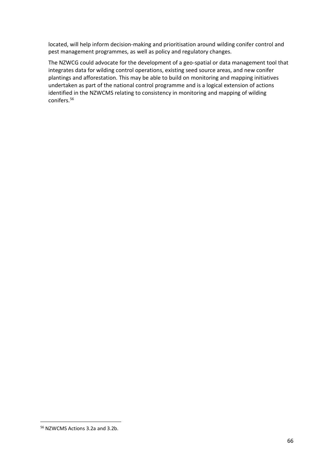located, will help inform decision-making and prioritisation around wilding conifer control and pest management programmes, as well as policy and regulatory changes.

The NZWCG could advocate for the development of a geo-spatial or data management tool that integrates data for wilding control operations, existing seed source areas, and new conifer plantings and afforestation. This may be able to build on monitoring and mapping initiatives undertaken as part of the national control programme and is a logical extension of actions identified in the NZWCMS relating to consistency in monitoring and mapping of wilding conifers.<sup>56</sup>

<sup>56</sup> NZWCMS Actions 3.2a and 3.2b.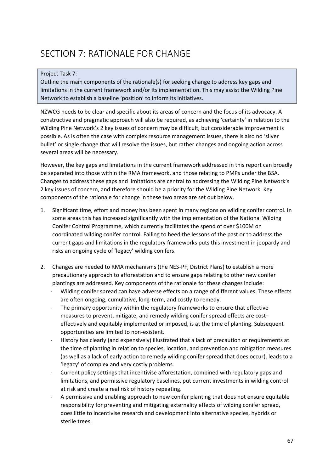## <span id="page-66-0"></span>SECTION 7: RATIONALE FOR CHANGE

#### Project Task 7:

Outline the main components of the rationale(s) for seeking change to address key gaps and limitations in the current framework and/or its implementation. This may assist the Wilding Pine Network to establish a baseline 'position' to inform its initiatives.

NZWCG needs to be clear and specific about its areas of concern and the focus of its advocacy. A constructive and pragmatic approach will also be required, as achieving 'certainty' in relation to the Wilding Pine Network's 2 key issues of concern may be difficult, but considerable improvement is possible. As is often the case with complex resource management issues, there is also no 'silver bullet' or single change that will resolve the issues, but rather changes and ongoing action across several areas will be necessary.

However, the key gaps and limitations in the current framework addressed in this report can broadly be separated into those within the RMA framework, and those relating to PMPs under the BSA. Changes to address these gaps and limitations are central to addressing the Wilding Pine Network's 2 key issues of concern, and therefore should be a priority for the Wilding Pine Network. Key components of the rationale for change in these two areas are set out below.

- 1. Significant time, effort and money has been spent in many regions on wilding conifer control. In some areas this has increased significantly with the implementation of the National Wilding Conifer Control Programme, which currently facilitates the spend of over \$100M on coordinated wilding conifer control. Failing to heed the lessons of the past or to address the current gaps and limitations in the regulatory frameworks puts this investment in jeopardy and risks an ongoing cycle of 'legacy' wilding conifers.
- 2. Changes are needed to RMA mechanisms (the NES-PF, District Plans) to establish a more precautionary approach to afforestation and to ensure gaps relating to other new conifer plantings are addressed. Key components of the rationale for these changes include:
	- Wilding conifer spread can have adverse effects on a range of different values. These effects are often ongoing, cumulative, long-term, and costly to remedy.
	- The primary opportunity within the regulatory frameworks to ensure that effective measures to prevent, mitigate, and remedy wilding conifer spread effects are costeffectively and equitably implemented or imposed, is at the time of planting. Subsequent opportunities are limited to non-existent.
	- History has clearly (and expensively) illustrated that a lack of precaution or requirements at the time of planting in relation to species, location, and prevention and mitigation measures (as well as a lack of early action to remedy wilding conifer spread that does occur), leads to a 'legacy' of complex and very costly problems.
	- Current policy settings that incentivise afforestation, combined with regulatory gaps and limitations, and permissive regulatory baselines, put current investments in wilding control at risk and create a real risk of history repeating.
	- A permissive and enabling approach to new conifer planting that does not ensure equitable responsibility for preventing and mitigating externality effects of wilding conifer spread, does little to incentivise research and development into alternative species, hybrids or sterile trees.